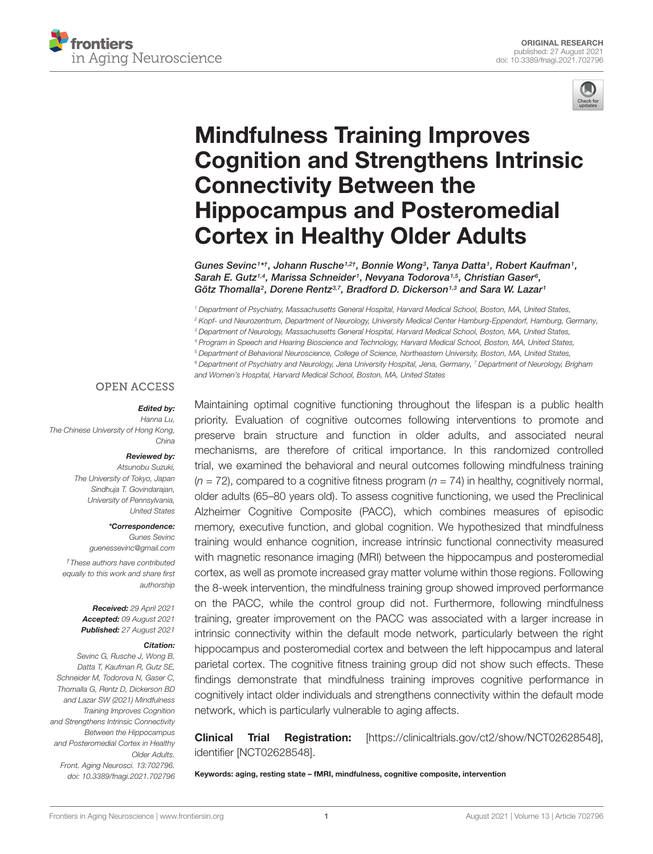



# Mindfulness Training Improves [Cognition and Strengthens Intrinsic](https://www.frontiersin.org/articles/10.3389/fnagi.2021.702796/full) Connectivity Between the Hippocampus and Posteromedial Cortex in Healthy Older Adults

Gunes Sevinc1\*†, Johann Rusche1,2†, Bonnie Wong3, Tanya Datta1, Robert Kaufman1, Sarah E. Gutz<sup>1,4</sup>, Marissa Schneider<sup>1</sup>, Nevyana Todorova<sup>1,5</sup>, Christian Gaser<sup>6</sup>, Götz Thomalla<sup>2</sup>, Dorene Rentz<sup>3,7</sup>, Bradford D. Dickerson<sup>1,3</sup> and Sara W. Lazar<sup>1</sup>

<sup>1</sup> Department of Psychiatry, Massachusetts General Hospital, Harvard Medical School, Boston, MA, United States, <sup>2</sup> Kopf- und Neurozentrum, Department of Neurology, University Medical Center Hamburg-Eppendorf, Hamburg, Germany, <sup>3</sup> Department of Neurology, Massachusetts General Hospital, Harvard Medical School, Boston, MA, United States, <sup>4</sup> Program in Speech and Hearing Bioscience and Technology, Harvard Medical School, Boston, MA, United States, <sup>5</sup> Department of Behavioral Neuroscience, College of Science, Northeastern University, Boston, MA, United States, <sup>6</sup> Department of Psychiatry and Neurology, Jena University Hospital, Jena, Germany, <sup>7</sup> Department of Neurology, Brigham and Women's Hospital, Harvard Medical School, Boston, MA, United States

#### **OPEN ACCESS**

#### Edited by:

Hanna Lu, The Chinese University of Hong Kong, China

### Reviewed by:

Atsunobu Suzuki, The University of Tokyo, Japan Sindhuja T. Govindarajan, University of Pennsylvania, United States

#### \*Correspondence:

Gunes Sevinc guenessevinc@gmail.com

†These authors have contributed equally to this work and share first authorship

> Received: 29 April 2021 Accepted: 09 August 2021 Published: 27 August 2021

#### Citation:

Sevinc G, Rusche J, Wong B, Datta T, Kaufman R, Gutz SE, Schneider M, Todorova N, Gaser C, Thomalla G, Rentz D, Dickerson BD and Lazar SW (2021) Mindfulness Training Improves Cognition and Strengthens Intrinsic Connectivity Between the Hippocampus and Posteromedial Cortex in Healthy Older Adults. Front. Aging Neurosci. 13:702796. doi: [10.3389/fnagi.2021.702796](https://doi.org/10.3389/fnagi.2021.702796)

Maintaining optimal cognitive functioning throughout the lifespan is a public health priority. Evaluation of cognitive outcomes following interventions to promote and preserve brain structure and function in older adults, and associated neural mechanisms, are therefore of critical importance. In this randomized controlled trial, we examined the behavioral and neural outcomes following mindfulness training  $(n = 72)$ , compared to a cognitive fitness program  $(n = 74)$  in healthy, cognitively normal, older adults (65–80 years old). To assess cognitive functioning, we used the Preclinical Alzheimer Cognitive Composite (PACC), which combines measures of episodic memory, executive function, and global cognition. We hypothesized that mindfulness training would enhance cognition, increase intrinsic functional connectivity measured with magnetic resonance imaging (MRI) between the hippocampus and posteromedial cortex, as well as promote increased gray matter volume within those regions. Following the 8-week intervention, the mindfulness training group showed improved performance on the PACC, while the control group did not. Furthermore, following mindfulness training, greater improvement on the PACC was associated with a larger increase in intrinsic connectivity within the default mode network, particularly between the right hippocampus and posteromedial cortex and between the left hippocampus and lateral parietal cortex. The cognitive fitness training group did not show such effects. These findings demonstrate that mindfulness training improves cognitive performance in cognitively intact older individuals and strengthens connectivity within the default mode network, which is particularly vulnerable to aging affects.

Clinical Trial Registration: [\[https://clinicaltrials.gov/ct2/show/NCT02628548\]](https://clinicaltrials.gov/ct2/show/NCT02628548), identifier [NCT02628548].

Keywords: aging, resting state – fMRI, mindfulness, cognitive composite, intervention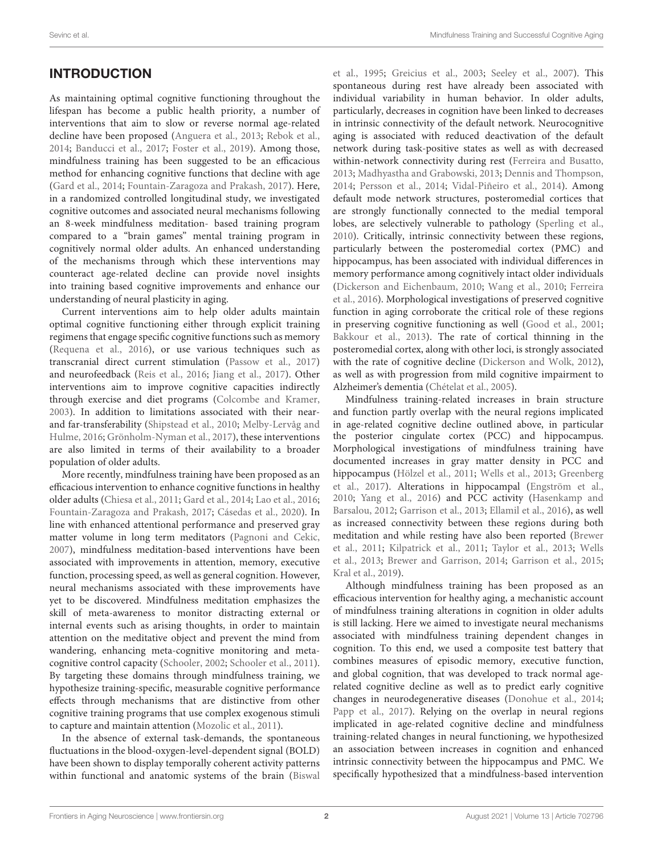### **INTRODUCTION**

As maintaining optimal cognitive functioning throughout the lifespan has become a public health priority, a number of interventions that aim to slow or reverse normal age-related decline have been proposed [\(Anguera et al.,](#page-10-0) [2013;](#page-10-0) [Rebok et al.,](#page-11-0) [2014;](#page-11-0) [Banducci et al.,](#page-10-1) [2017;](#page-10-1) [Foster et al.,](#page-10-2) [2019\)](#page-10-2). Among those, mindfulness training has been suggested to be an efficacious method for enhancing cognitive functions that decline with age [\(Gard et al.,](#page-11-1) [2014;](#page-11-1) [Fountain-Zaragoza and Prakash,](#page-11-2) [2017\)](#page-11-2). Here, in a randomized controlled longitudinal study, we investigated cognitive outcomes and associated neural mechanisms following an 8-week mindfulness meditation- based training program compared to a "brain games" mental training program in cognitively normal older adults. An enhanced understanding of the mechanisms through which these interventions may counteract age-related decline can provide novel insights into training based cognitive improvements and enhance our understanding of neural plasticity in aging.

Current interventions aim to help older adults maintain optimal cognitive functioning either through explicit training regimens that engage specific cognitive functions such as memory [\(Requena et al.,](#page-11-3) [2016\)](#page-11-3), or use various techniques such as transcranial direct current stimulation [\(Passow et al.,](#page-11-4) [2017\)](#page-11-4) and neurofeedback [\(Reis et al.,](#page-11-5) [2016;](#page-11-5) [Jiang et al.,](#page-11-6) [2017\)](#page-11-6). Other interventions aim to improve cognitive capacities indirectly through exercise and diet programs [\(Colcombe and Kramer,](#page-10-3) [2003\)](#page-10-3). In addition to limitations associated with their nearand far-transferability [\(Shipstead et al.,](#page-11-7) [2010;](#page-11-7) [Melby-Lervåg and](#page-11-8) [Hulme,](#page-11-8) [2016;](#page-11-8) [Grönholm-Nyman et al.,](#page-11-9) [2017\)](#page-11-9), these interventions are also limited in terms of their availability to a broader population of older adults.

More recently, mindfulness training have been proposed as an efficacious intervention to enhance cognitive functions in healthy older adults [\(Chiesa et al.,](#page-10-4) [2011;](#page-10-4) [Gard et al.,](#page-11-1) [2014;](#page-11-1) [Lao et al.,](#page-11-10) [2016;](#page-11-10) [Fountain-Zaragoza and Prakash,](#page-11-2) [2017;](#page-11-2) [Cásedas et al.,](#page-10-5) [2020\)](#page-10-5). In line with enhanced attentional performance and preserved gray matter volume in long term meditators [\(Pagnoni and Cekic,](#page-11-11) [2007\)](#page-11-11), mindfulness meditation-based interventions have been associated with improvements in attention, memory, executive function, processing speed, as well as general cognition. However, neural mechanisms associated with these improvements have yet to be discovered. Mindfulness meditation emphasizes the skill of meta-awareness to monitor distracting external or internal events such as arising thoughts, in order to maintain attention on the meditative object and prevent the mind from wandering, enhancing meta-cognitive monitoring and metacognitive control capacity [\(Schooler,](#page-11-12) [2002;](#page-11-12) [Schooler et al.,](#page-11-13) [2011\)](#page-11-13). By targeting these domains through mindfulness training, we hypothesize training-specific, measurable cognitive performance effects through mechanisms that are distinctive from other cognitive training programs that use complex exogenous stimuli to capture and maintain attention [\(Mozolic et al.,](#page-11-14) [2011\)](#page-11-14).

In the absence of external task-demands, the spontaneous fluctuations in the blood-oxygen-level-dependent signal (BOLD) have been shown to display temporally coherent activity patterns within functional and anatomic systems of the brain [\(Biswal](#page-10-6)

[et al.,](#page-10-6) [1995;](#page-10-6) [Greicius et al.,](#page-11-15) [2003;](#page-11-15) [Seeley et al.,](#page-11-16) [2007\)](#page-11-16). This spontaneous during rest have already been associated with individual variability in human behavior. In older adults, particularly, decreases in cognition have been linked to decreases in intrinsic connectivity of the default network. Neurocognitive aging is associated with reduced deactivation of the default network during task-positive states as well as with decreased within-network connectivity during rest [\(Ferreira and Busatto,](#page-10-7) [2013;](#page-10-7) [Madhyastha and Grabowski,](#page-11-17) [2013;](#page-11-17) [Dennis and Thompson,](#page-10-8) [2014;](#page-10-8) [Persson et al.,](#page-11-18) [2014;](#page-11-18) [Vidal-Piñeiro et al.,](#page-12-0) [2014\)](#page-12-0). Among default mode network structures, posteromedial cortices that are strongly functionally connected to the medial temporal lobes, are selectively vulnerable to pathology [\(Sperling et al.,](#page-12-1) [2010\)](#page-12-1). Critically, intrinsic connectivity between these regions, particularly between the posteromedial cortex (PMC) and hippocampus, has been associated with individual differences in memory performance among cognitively intact older individuals [\(Dickerson and Eichenbaum,](#page-10-9) [2010;](#page-10-9) [Wang et al.,](#page-12-2) [2010;](#page-12-2) [Ferreira](#page-10-10) [et al.,](#page-10-10) [2016\)](#page-10-10). Morphological investigations of preserved cognitive function in aging corroborate the critical role of these regions in preserving cognitive functioning as well [\(Good et al.,](#page-11-19) [2001;](#page-11-19) [Bakkour et al.,](#page-10-11) [2013\)](#page-10-11). The rate of cortical thinning in the posteromedial cortex, along with other loci, is strongly associated with the rate of cognitive decline [\(Dickerson and Wolk,](#page-10-12) [2012\)](#page-10-12), as well as with progression from mild cognitive impairment to Alzheimer's dementia [\(Chételat et al.,](#page-10-13) [2005\)](#page-10-13).

Mindfulness training-related increases in brain structure and function partly overlap with the neural regions implicated in age-related cognitive decline outlined above, in particular the posterior cingulate cortex (PCC) and hippocampus. Morphological investigations of mindfulness training have documented increases in gray matter density in PCC and hippocampus [\(Hölzel et al.,](#page-11-20) [2011;](#page-11-20) [Wells et al.,](#page-12-3) [2013;](#page-12-3) [Greenberg](#page-11-21) [et al.,](#page-11-21) [2017\)](#page-11-21). Alterations in hippocampal [\(Engström et al.,](#page-10-14) [2010;](#page-10-14) [Yang et al.,](#page-12-4) [2016\)](#page-12-4) and PCC activity [\(Hasenkamp and](#page-11-22) [Barsalou,](#page-11-22) [2012;](#page-11-22) [Garrison et al.,](#page-11-23) [2013;](#page-11-23) [Ellamil et al.,](#page-10-15) [2016\)](#page-10-15), as well as increased connectivity between these regions during both meditation and while resting have also been reported [\(Brewer](#page-10-16) [et al.,](#page-10-16) [2011;](#page-10-16) [Kilpatrick et al.,](#page-11-24) [2011;](#page-11-24) [Taylor et al.,](#page-12-5) [2013;](#page-12-5) [Wells](#page-12-3) [et al.,](#page-12-3) [2013;](#page-12-3) [Brewer and Garrison,](#page-10-17) [2014;](#page-10-17) [Garrison et al.,](#page-11-25) [2015;](#page-11-25) [Kral et al.,](#page-11-26) [2019\)](#page-11-26).

Although mindfulness training has been proposed as an efficacious intervention for healthy aging, a mechanistic account of mindfulness training alterations in cognition in older adults is still lacking. Here we aimed to investigate neural mechanisms associated with mindfulness training dependent changes in cognition. To this end, we used a composite test battery that combines measures of episodic memory, executive function, and global cognition, that was developed to track normal agerelated cognitive decline as well as to predict early cognitive changes in neurodegenerative diseases [\(Donohue et al.,](#page-10-18) [2014;](#page-10-18) [Papp et al.,](#page-11-27) [2017\)](#page-11-27). Relying on the overlap in neural regions implicated in age-related cognitive decline and mindfulness training-related changes in neural functioning, we hypothesized an association between increases in cognition and enhanced intrinsic connectivity between the hippocampus and PMC. We specifically hypothesized that a mindfulness-based intervention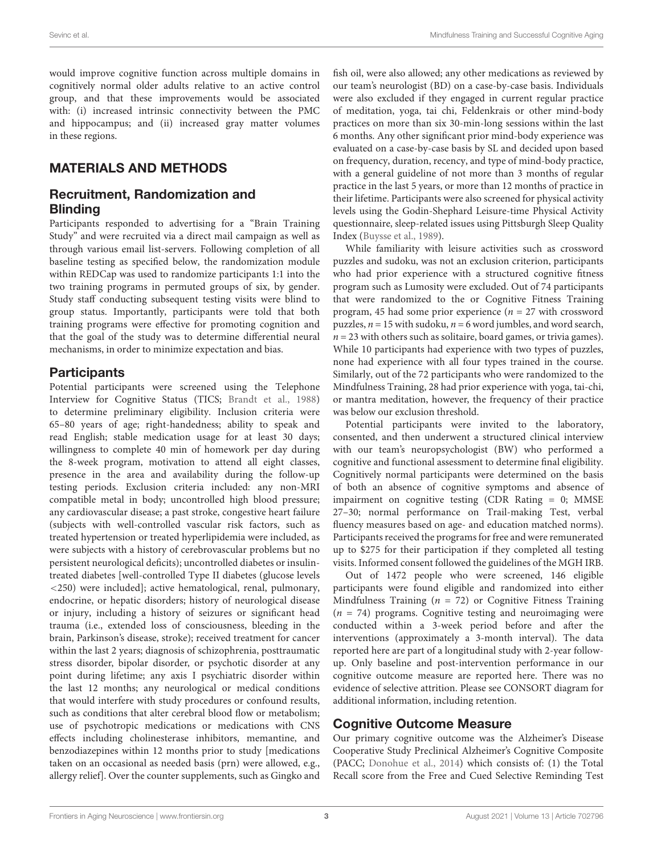would improve cognitive function across multiple domains in cognitively normal older adults relative to an active control group, and that these improvements would be associated with: (i) increased intrinsic connectivity between the PMC and hippocampus; and (ii) increased gray matter volumes in these regions.

### MATERIALS AND METHODS

### Recruitment, Randomization and **Blinding**

Participants responded to advertising for a "Brain Training Study" and were recruited via a direct mail campaign as well as through various email list-servers. Following completion of all baseline testing as specified below, the randomization module within REDCap was used to randomize participants 1:1 into the two training programs in permuted groups of six, by gender. Study staff conducting subsequent testing visits were blind to group status. Importantly, participants were told that both training programs were effective for promoting cognition and that the goal of the study was to determine differential neural mechanisms, in order to minimize expectation and bias.

### **Participants**

Potential participants were screened using the Telephone Interview for Cognitive Status (TICS; [Brandt et al.,](#page-10-19) [1988\)](#page-10-19) to determine preliminary eligibility. Inclusion criteria were 65–80 years of age; right-handedness; ability to speak and read English; stable medication usage for at least 30 days; willingness to complete 40 min of homework per day during the 8-week program, motivation to attend all eight classes, presence in the area and availability during the follow-up testing periods. Exclusion criteria included: any non-MRI compatible metal in body; uncontrolled high blood pressure; any cardiovascular disease; a past stroke, congestive heart failure (subjects with well-controlled vascular risk factors, such as treated hypertension or treated hyperlipidemia were included, as were subjects with a history of cerebrovascular problems but no persistent neurological deficits); uncontrolled diabetes or insulintreated diabetes [well-controlled Type II diabetes (glucose levels <250) were included]; active hematological, renal, pulmonary, endocrine, or hepatic disorders; history of neurological disease or injury, including a history of seizures or significant head trauma (i.e., extended loss of consciousness, bleeding in the brain, Parkinson's disease, stroke); received treatment for cancer within the last 2 years; diagnosis of schizophrenia, posttraumatic stress disorder, bipolar disorder, or psychotic disorder at any point during lifetime; any axis I psychiatric disorder within the last 12 months; any neurological or medical conditions that would interfere with study procedures or confound results, such as conditions that alter cerebral blood flow or metabolism; use of psychotropic medications or medications with CNS effects including cholinesterase inhibitors, memantine, and benzodiazepines within 12 months prior to study [medications taken on an occasional as needed basis (prn) were allowed, e.g., allergy relief]. Over the counter supplements, such as Gingko and

fish oil, were also allowed; any other medications as reviewed by our team's neurologist (BD) on a case-by-case basis. Individuals were also excluded if they engaged in current regular practice of meditation, yoga, tai chi, Feldenkrais or other mind-body practices on more than six 30-min-long sessions within the last 6 months. Any other significant prior mind-body experience was evaluated on a case-by-case basis by SL and decided upon based on frequency, duration, recency, and type of mind-body practice, with a general guideline of not more than 3 months of regular practice in the last 5 years, or more than 12 months of practice in their lifetime. Participants were also screened for physical activity levels using the Godin-Shephard Leisure-time Physical Activity questionnaire, sleep-related issues using Pittsburgh Sleep Quality Index [\(Buysse et al.,](#page-10-20) [1989\)](#page-10-20).

While familiarity with leisure activities such as crossword puzzles and sudoku, was not an exclusion criterion, participants who had prior experience with a structured cognitive fitness program such as Lumosity were excluded. Out of 74 participants that were randomized to the or Cognitive Fitness Training program, 45 had some prior experience ( $n = 27$  with crossword puzzles,  $n = 15$  with sudoku,  $n = 6$  word jumbles, and word search,  $n = 23$  with others such as solitaire, board games, or trivia games). While 10 participants had experience with two types of puzzles, none had experience with all four types trained in the course. Similarly, out of the 72 participants who were randomized to the Mindfulness Training, 28 had prior experience with yoga, tai-chi, or mantra meditation, however, the frequency of their practice was below our exclusion threshold.

Potential participants were invited to the laboratory, consented, and then underwent a structured clinical interview with our team's neuropsychologist (BW) who performed a cognitive and functional assessment to determine final eligibility. Cognitively normal participants were determined on the basis of both an absence of cognitive symptoms and absence of impairment on cognitive testing (CDR Rating = 0; MMSE 27–30; normal performance on Trail-making Test, verbal fluency measures based on age- and education matched norms). Participants received the programs for free and were remunerated up to \$275 for their participation if they completed all testing visits. Informed consent followed the guidelines of the MGH IRB.

Out of 1472 people who were screened, 146 eligible participants were found eligible and randomized into either Mindfulness Training ( $n = 72$ ) or Cognitive Fitness Training  $(n = 74)$  programs. Cognitive testing and neuroimaging were conducted within a 3-week period before and after the interventions (approximately a 3-month interval). The data reported here are part of a longitudinal study with 2-year followup. Only baseline and post-intervention performance in our cognitive outcome measure are reported here. There was no evidence of selective attrition. Please see CONSORT diagram for additional information, including retention.

### Cognitive Outcome Measure

Our primary cognitive outcome was the Alzheimer's Disease Cooperative Study Preclinical Alzheimer's Cognitive Composite (PACC; [Donohue et al.,](#page-10-18) [2014\)](#page-10-18) which consists of: (1) the Total Recall score from the Free and Cued Selective Reminding Test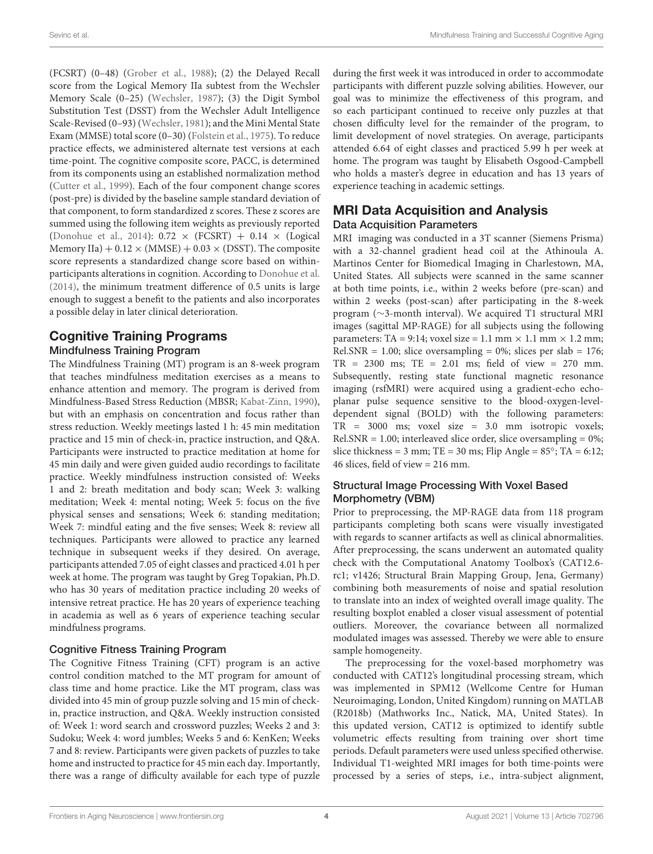(FCSRT) (0–48) [\(Grober et al.,](#page-11-28) [1988\)](#page-11-28); (2) the Delayed Recall score from the Logical Memory IIa subtest from the Wechsler Memory Scale (0–25) [\(Wechsler,](#page-12-6) [1987\)](#page-12-6); (3) the Digit Symbol Substitution Test (DSST) from the Wechsler Adult Intelligence Scale-Revised (0–93) [\(Wechsler,](#page-12-7) [1981\)](#page-12-7); and the Mini Mental State Exam (MMSE) total score (0–30) [\(Folstein et al.,](#page-10-21) [1975\)](#page-10-21). To reduce practice effects, we administered alternate test versions at each time-point. The cognitive composite score, PACC, is determined from its components using an established normalization method [\(Cutter et al.,](#page-10-22) [1999\)](#page-10-22). Each of the four component change scores (post-pre) is divided by the baseline sample standard deviation of that component, to form standardized z scores. These z scores are summed using the following item weights as previously reported [\(Donohue et al.,](#page-10-18) [2014\)](#page-10-18):  $0.72 \times (FCSRT) + 0.14 \times (Logical)$ Memory IIa)  $+ 0.12 \times (MMSE) + 0.03 \times (D SST)$ . The composite score represents a standardized change score based on withinparticipants alterations in cognition. According to [Donohue et al.](#page-10-18) [\(2014\)](#page-10-18), the minimum treatment difference of 0.5 units is large enough to suggest a benefit to the patients and also incorporates a possible delay in later clinical deterioration.

## Cognitive Training Programs

### Mindfulness Training Program

The Mindfulness Training (MT) program is an 8-week program that teaches mindfulness meditation exercises as a means to enhance attention and memory. The program is derived from Mindfulness-Based Stress Reduction (MBSR; [Kabat-Zinn,](#page-11-29) [1990\)](#page-11-29), but with an emphasis on concentration and focus rather than stress reduction. Weekly meetings lasted 1 h: 45 min meditation practice and 15 min of check-in, practice instruction, and Q&A. Participants were instructed to practice meditation at home for 45 min daily and were given guided audio recordings to facilitate practice. Weekly mindfulness instruction consisted of: Weeks 1 and 2: breath meditation and body scan; Week 3: walking meditation; Week 4: mental noting; Week 5: focus on the five physical senses and sensations; Week 6: standing meditation; Week 7: mindful eating and the five senses; Week 8: review all techniques. Participants were allowed to practice any learned technique in subsequent weeks if they desired. On average, participants attended 7.05 of eight classes and practiced 4.01 h per week at home. The program was taught by Greg Topakian, Ph.D. who has 30 years of meditation practice including 20 weeks of intensive retreat practice. He has 20 years of experience teaching in academia as well as 6 years of experience teaching secular mindfulness programs.

#### Cognitive Fitness Training Program

The Cognitive Fitness Training (CFT) program is an active control condition matched to the MT program for amount of class time and home practice. Like the MT program, class was divided into 45 min of group puzzle solving and 15 min of checkin, practice instruction, and Q&A. Weekly instruction consisted of: Week 1: word search and crossword puzzles; Weeks 2 and 3: Sudoku; Week 4: word jumbles; Weeks 5 and 6: KenKen; Weeks 7 and 8: review. Participants were given packets of puzzles to take home and instructed to practice for 45 min each day. Importantly, there was a range of difficulty available for each type of puzzle

during the first week it was introduced in order to accommodate participants with different puzzle solving abilities. However, our goal was to minimize the effectiveness of this program, and so each participant continued to receive only puzzles at that chosen difficulty level for the remainder of the program, to limit development of novel strategies. On average, participants attended 6.64 of eight classes and practiced 5.99 h per week at home. The program was taught by Elisabeth Osgood-Campbell who holds a master's degree in education and has 13 years of experience teaching in academic settings.

### MRI Data Acquisition and Analysis Data Acquisition Parameters

MRI imaging was conducted in a 3T scanner (Siemens Prisma) with a 32-channel gradient head coil at the Athinoula A. Martinos Center for Biomedical Imaging in Charlestown, MA, United States. All subjects were scanned in the same scanner at both time points, i.e., within 2 weeks before (pre-scan) and within 2 weeks (post-scan) after participating in the 8-week program (∼3-month interval). We acquired T1 structural MRI images (sagittal MP-RAGE) for all subjects using the following parameters: TA = 9:14; voxel size = 1.1 mm  $\times$  1.1 mm  $\times$  1.2 mm; Rel.SNR = 1.00; slice oversampling =  $0\%$ ; slices per slab = 176;  $TR = 2300$  ms;  $TE = 2.01$  ms; field of view = 270 mm. Subsequently, resting state functional magnetic resonance imaging (rsfMRI) were acquired using a gradient-echo echoplanar pulse sequence sensitive to the blood-oxygen-leveldependent signal (BOLD) with the following parameters: TR = 3000 ms; voxel size = 3.0 mm isotropic voxels;  $Rel.SNR = 1.00$ ; interleaved slice order, slice oversampling = 0%; slice thickness = 3 mm; TE = 30 ms; Flip Angle =  $85^\circ$ ; TA = 6:12; 46 slices, field of view = 216 mm.

### Structural Image Processing With Voxel Based Morphometry (VBM)

Prior to preprocessing, the MP-RAGE data from 118 program participants completing both scans were visually investigated with regards to scanner artifacts as well as clinical abnormalities. After preprocessing, the scans underwent an automated quality check with the Computational Anatomy Toolbox's (CAT12.6 rc1; v1426; Structural Brain Mapping Group, Jena, Germany) combining both measurements of noise and spatial resolution to translate into an index of weighted overall image quality. The resulting boxplot enabled a closer visual assessment of potential outliers. Moreover, the covariance between all normalized modulated images was assessed. Thereby we were able to ensure sample homogeneity.

The preprocessing for the voxel-based morphometry was conducted with CAT12's longitudinal processing stream, which was implemented in SPM12 (Wellcome Centre for Human Neuroimaging, London, United Kingdom) running on MATLAB (R2018b) (Mathworks Inc., Natick, MA, United States). In this updated version, CAT12 is optimized to identify subtle volumetric effects resulting from training over short time periods. Default parameters were used unless specified otherwise. Individual T1-weighted MRI images for both time-points were processed by a series of steps, i.e., intra-subject alignment,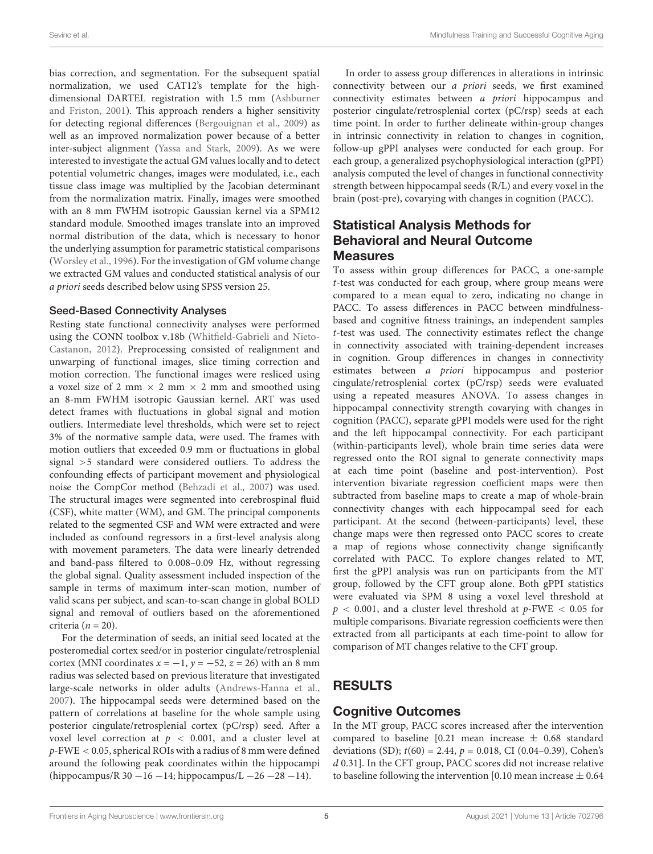bias correction, and segmentation. For the subsequent spatial normalization, we used CAT12's template for the highdimensional DARTEL registration with 1.5 mm [\(Ashburner](#page-10-23) [and Friston,](#page-10-23) [2001\)](#page-10-23). This approach renders a higher sensitivity for detecting regional differences [\(Bergouignan et al.,](#page-10-24) [2009\)](#page-10-24) as well as an improved normalization power because of a better inter-subject alignment [\(Yassa and Stark,](#page-12-8) [2009\)](#page-12-8). As we were interested to investigate the actual GM values locally and to detect potential volumetric changes, images were modulated, i.e., each tissue class image was multiplied by the Jacobian determinant from the normalization matrix. Finally, images were smoothed with an 8 mm FWHM isotropic Gaussian kernel via a SPM12 standard module. Smoothed images translate into an improved normal distribution of the data, which is necessary to honor the underlying assumption for parametric statistical comparisons [\(Worsley et al.,](#page-12-9) [1996\)](#page-12-9). For the investigation of GM volume change we extracted GM values and conducted statistical analysis of our a priori seeds described below using SPSS version 25.

#### Seed-Based Connectivity Analyses

Resting state functional connectivity analyses were performed using the CONN toolbox v.18b [\(Whitfield-Gabrieli and Nieto-](#page-12-10)[Castanon,](#page-12-10) [2012\)](#page-12-10). Preprocessing consisted of realignment and unwarping of functional images, slice timing correction and motion correction. The functional images were resliced using a voxel size of 2 mm  $\times$  2 mm  $\times$  2 mm and smoothed using an 8-mm FWHM isotropic Gaussian kernel. ART was used detect frames with fluctuations in global signal and motion outliers. Intermediate level thresholds, which were set to reject 3% of the normative sample data, were used. The frames with motion outliers that exceeded 0.9 mm or fluctuations in global signal >5 standard were considered outliers. To address the confounding effects of participant movement and physiological noise the CompCor method [\(Behzadi et al.,](#page-10-25) [2007\)](#page-10-25) was used. The structural images were segmented into cerebrospinal fluid (CSF), white matter (WM), and GM. The principal components related to the segmented CSF and WM were extracted and were included as confound regressors in a first-level analysis along with movement parameters. The data were linearly detrended and band-pass filtered to 0.008–0.09 Hz, without regressing the global signal. Quality assessment included inspection of the sample in terms of maximum inter-scan motion, number of valid scans per subject, and scan-to-scan change in global BOLD signal and removal of outliers based on the aforementioned criteria ( $n = 20$ ).

For the determination of seeds, an initial seed located at the posteromedial cortex seed/or in posterior cingulate/retrosplenial cortex (MNI coordinates  $x = -1$ ,  $y = -52$ ,  $z = 26$ ) with an 8 mm radius was selected based on previous literature that investigated large-scale networks in older adults [\(Andrews-Hanna et al.,](#page-10-26) [2007\)](#page-10-26). The hippocampal seeds were determined based on the pattern of correlations at baseline for the whole sample using posterior cingulate/retrosplenial cortex (pC/rsp) seed. After a voxel level correction at  $p < 0.001$ , and a cluster level at p-FWE < 0.05, spherical ROIs with a radius of 8 mm were defined around the following peak coordinates within the hippocampi (hippocampus/R 30 −16 −14; hippocampus/L −26 −28 −14).

In order to assess group differences in alterations in intrinsic connectivity between our a priori seeds, we first examined connectivity estimates between a priori hippocampus and posterior cingulate/retrosplenial cortex (pC/rsp) seeds at each time point. In order to further delineate within-group changes in intrinsic connectivity in relation to changes in cognition, follow-up gPPI analyses were conducted for each group. For each group, a generalized psychophysiological interaction (gPPI) analysis computed the level of changes in functional connectivity strength between hippocampal seeds (R/L) and every voxel in the brain (post-pre), covarying with changes in cognition (PACC).

### Statistical Analysis Methods for Behavioral and Neural Outcome Measures

To assess within group differences for PACC, a one-sample t-test was conducted for each group, where group means were compared to a mean equal to zero, indicating no change in PACC. To assess differences in PACC between mindfulnessbased and cognitive fitness trainings, an independent samples t-test was used. The connectivity estimates reflect the change in connectivity associated with training-dependent increases in cognition. Group differences in changes in connectivity estimates between a priori hippocampus and posterior cingulate/retrosplenial cortex (pC/rsp) seeds were evaluated using a repeated measures ANOVA. To assess changes in hippocampal connectivity strength covarying with changes in cognition (PACC), separate gPPI models were used for the right and the left hippocampal connectivity. For each participant (within-participants level), whole brain time series data were regressed onto the ROI signal to generate connectivity maps at each time point (baseline and post-intervention). Post intervention bivariate regression coefficient maps were then subtracted from baseline maps to create a map of whole-brain connectivity changes with each hippocampal seed for each participant. At the second (between-participants) level, these change maps were then regressed onto PACC scores to create a map of regions whose connectivity change significantly correlated with PACC. To explore changes related to MT, first the gPPI analysis was run on participants from the MT group, followed by the CFT group alone. Both gPPI statistics were evaluated via SPM 8 using a voxel level threshold at  $p < 0.001$ , and a cluster level threshold at  $p$ -FWE  $< 0.05$  for multiple comparisons. Bivariate regression coefficients were then extracted from all participants at each time-point to allow for comparison of MT changes relative to the CFT group.

### RESULTS

### Cognitive Outcomes

In the MT group, PACC scores increased after the intervention compared to baseline [0.21 mean increase  $\pm$  0.68 standard deviations (SD);  $t(60) = 2.44$ ,  $p = 0.018$ , CI (0.04–0.39), Cohen's d 0.31]. In the CFT group, PACC scores did not increase relative to baseline following the intervention [0.10 mean increase  $\pm$  0.64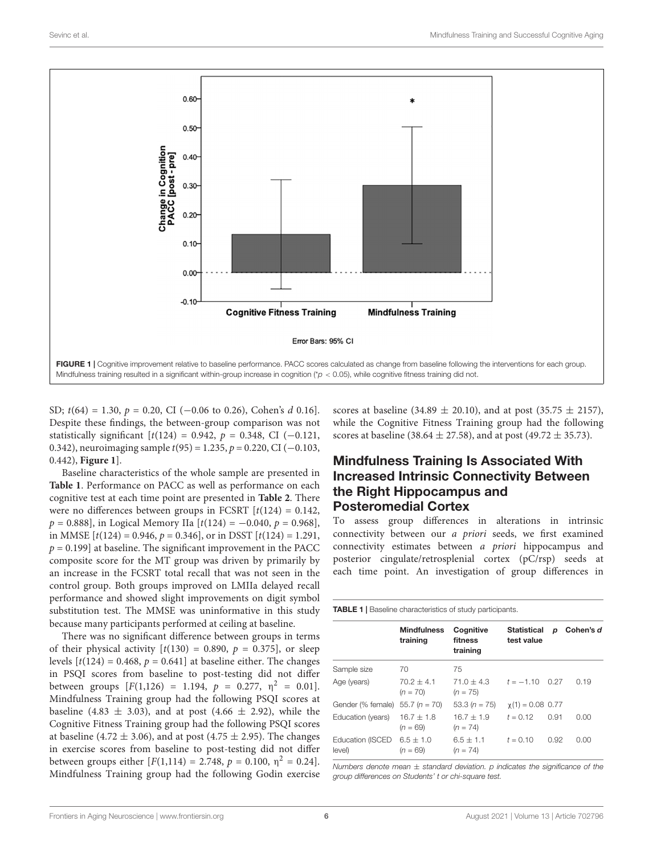

<span id="page-5-0"></span>SD;  $t(64) = 1.30, p = 0.20, CI$  (-0.06 to 0.26), Cohen's d 0.16]. Despite these findings, the between-group comparison was not statistically significant  $[t(124) = 0.942, p = 0.348, CI(-0.121,$ 0.342), neuroimaging sample  $t(95) = 1.235$ ,  $p = 0.220$ , CI (-0.103, 0.442), **[Figure 1](#page-5-0)**].

Baseline characteristics of the whole sample are presented in **[Table 1](#page-5-1)**. Performance on PACC as well as performance on each cognitive test at each time point are presented in **[Table 2](#page-6-0)**. There were no differences between groups in FCSRT  $[t(124) = 0.142]$ ,  $p = 0.888$ ], in Logical Memory IIa  $[t(124) = -0.040, p = 0.968]$ , in MMSE  $[t(124) = 0.946, p = 0.346]$ , or in DSST  $[t(124) = 1.291$ ,  $p = 0.199$ ] at baseline. The significant improvement in the PACC composite score for the MT group was driven by primarily by an increase in the FCSRT total recall that was not seen in the control group. Both groups improved on LMIIa delayed recall performance and showed slight improvements on digit symbol substitution test. The MMSE was uninformative in this study because many participants performed at ceiling at baseline.

There was no significant difference between groups in terms of their physical activity  $[t(130) = 0.890, p = 0.375]$ , or sleep levels  $[t(124) = 0.468, p = 0.641]$  at baseline either. The changes in PSQI scores from baseline to post-testing did not differ between groups  $[F(1,126) = 1.194, p = 0.277, \eta^2 = 0.01].$ Mindfulness Training group had the following PSQI scores at baseline (4.83  $\pm$  3.03), and at post (4.66  $\pm$  2.92), while the Cognitive Fitness Training group had the following PSQI scores at baseline (4.72  $\pm$  3.06), and at post (4.75  $\pm$  2.95). The changes in exercise scores from baseline to post-testing did not differ between groups either  $[F(1,114) = 2.748, p = 0.100, \eta^2 = 0.24]$ . Mindfulness Training group had the following Godin exercise scores at baseline (34.89  $\pm$  20.10), and at post (35.75  $\pm$  2157), while the Cognitive Fitness Training group had the following scores at baseline (38.64  $\pm$  27.58), and at post (49.72  $\pm$  35.73).

### Mindfulness Training Is Associated With Increased Intrinsic Connectivity Between the Right Hippocampus and Posteromedial Cortex

To assess group differences in alterations in intrinsic connectivity between our a priori seeds, we first examined connectivity estimates between a priori hippocampus and posterior cingulate/retrosplenial cortex (pC/rsp) seeds at each time point. An investigation of group differences in

<span id="page-5-1"></span>**TABLE 1 | Baseline characteristics of study participants.** 

|                            | <b>Mindfulness</b><br>training | Cognitive<br>fitness<br>training | <b>Statistical</b><br>test value | D    | Cohen's d |
|----------------------------|--------------------------------|----------------------------------|----------------------------------|------|-----------|
| Sample size                | 70                             | 75                               |                                  |      |           |
| Age (years)                | $70.2 \pm 4.1$<br>$(n = 70)$   | $71.0 + 4.3$<br>$(n = 75)$       | $t = -1.10$ 0.27                 |      | 0.19      |
| Gender (% female)          | $55.7 (n = 70)$                | 53.3 $(n = 75)$                  | $\chi(1) = 0.08$ 0.77            |      |           |
| Education (years)          | $16.7 + 1.8$<br>$(n = 69)$     | $16.7 + 1.9$<br>$(n = 74)$       | $t = 0.12$                       | 0.91 | 0.00      |
| Education (ISCED<br>level) | $6.5 + 1.0$<br>$(n = 69)$      | $6.5 + 1.1$<br>$(n = 74)$        | $t = 0.10$                       | 0.92 | 0.00      |

Numbers denote mean  $\pm$  standard deviation. p indicates the significance of the group differences on Students' t or chi-square test.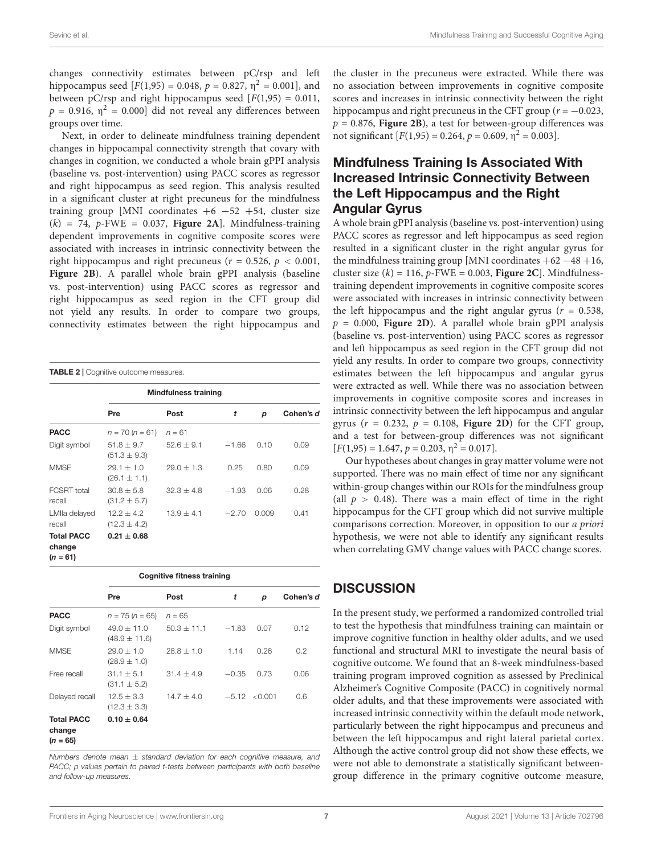changes connectivity estimates between pC/rsp and left hippocampus seed [ $F(1,95) = 0.048$ ,  $p = 0.827$ ,  $\eta^2 = 0.001$ ], and between pC/rsp and right hippocampus seed  $[F(1,95) = 0.011]$ ,  $p = 0.916$ ,  $\eta^2 = 0.000$ ] did not reveal any differences between groups over time.

Next, in order to delineate mindfulness training dependent changes in hippocampal connectivity strength that covary with changes in cognition, we conducted a whole brain gPPI analysis (baseline vs. post-intervention) using PACC scores as regressor and right hippocampus as seed region. This analysis resulted in a significant cluster at right precuneus for the mindfulness training group [MNI coordinates  $+6$  -52 +54, cluster size  $(k) = 74$ , p-FWE = 0.037, **[Figure 2A](#page-7-0)**]. Mindfulness-training dependent improvements in cognitive composite scores were associated with increases in intrinsic connectivity between the right hippocampus and right precuneus ( $r = 0.526$ ,  $p < 0.001$ , **[Figure 2B](#page-7-0)**). A parallel whole brain gPPI analysis (baseline vs. post-intervention) using PACC scores as regressor and right hippocampus as seed region in the CFT group did not yield any results. In order to compare two groups, connectivity estimates between the right hippocampus and

<span id="page-6-0"></span>

| <b>TABLE 2</b>   Cognitive outcome measures.<br><b>Mindfulness training</b> |                                  |              |         |       |           |  |  |  |
|-----------------------------------------------------------------------------|----------------------------------|--------------|---------|-------|-----------|--|--|--|
|                                                                             | Pre                              | Post         | t       | p     | Cohen's d |  |  |  |
| <b>PACC</b>                                                                 | $n = 70 (n = 61)$                | $n = 61$     |         |       |           |  |  |  |
| Digit symbol                                                                | $51.8 + 9.7$<br>$(51.3 \pm 9.3)$ | $52.6 + 9.1$ | $-1.66$ | 0.10  | 0.09      |  |  |  |
| <b>MMSE</b>                                                                 | $29.1 + 1.0$<br>$(26.1 \pm 1.1)$ | $29.0 + 1.3$ | 0.25    | 0.80  | 0.09      |  |  |  |
| FCSRT total<br>recall                                                       | $30.8 + 5.8$<br>$(31.2 \pm 5.7)$ | $32.3 + 4.8$ | $-1.93$ | 0.06  | 0.28      |  |  |  |
| LMIIa delayed<br>recall                                                     | $12.2 + 4.2$<br>$(12.3 \pm 4.2)$ | $13.9 + 4.1$ | $-2.70$ | 0.009 | 0.41      |  |  |  |
| <b>Total PACC</b><br>change<br>$(n = 61)$                                   | $0.21 \pm 0.68$                  |              |         |       |           |  |  |  |

|                                           | <b>Cognitive fitness training</b>  |               |         |                   |           |  |
|-------------------------------------------|------------------------------------|---------------|---------|-------------------|-----------|--|
|                                           | Pre                                | Post          | t       | р                 | Cohen's d |  |
| <b>PACC</b>                               | $n = 75 (n = 65)$                  | $n = 65$      |         |                   |           |  |
| Digit symbol                              | $49.0 + 11.0$<br>$(48.9 \pm 11.6)$ | $50.3 + 11.1$ | $-1.83$ | 0.07              | 0.12      |  |
| <b>MMSE</b>                               | $29.0 + 1.0$<br>$(28.9 \pm 1.0)$   | $28.8 + 1.0$  | 1.14    | 0.26              | 0.2       |  |
| Free recall                               | $31.1 + 5.1$<br>$(31.1 \pm 5.2)$   | $31.4 + 4.9$  | $-0.35$ | 0.73              | 0.06      |  |
| Delayed recall                            | $12.5 + 3.3$<br>$(12.3 \pm 3.3)$   | $14.7 + 4.0$  |         | $-5.12 \le 0.001$ | 0.6       |  |
| <b>Total PACC</b><br>change<br>$(n = 65)$ | $0.10 \pm 0.64$                    |               |         |                   |           |  |

Numbers denote mean  $\pm$  standard deviation for each cognitive measure, and PACC; p values pertain to paired t-tests between participants with both baseline and follow-up measures.

the cluster in the precuneus were extracted. While there was no association between improvements in cognitive composite scores and increases in intrinsic connectivity between the right hippocampus and right precuneus in the CFT group ( $r = -0.023$ ,  $p = 0.876$ , **[Figure 2B](#page-7-0)**), a test for between-group differences was not significant  $[F(1,95) = 0.264, p = 0.609, \eta^2 = 0.003]$ .

### Mindfulness Training Is Associated With Increased Intrinsic Connectivity Between the Left Hippocampus and the Right Angular Gyrus

A whole brain gPPI analysis (baseline vs. post-intervention) using PACC scores as regressor and left hippocampus as seed region resulted in a significant cluster in the right angular gyrus for the mindfulness training group [MNI coordinates  $+62 - 48 +16$ , cluster size  $(k) = 116$ , p-FWE = 0.003, **[Figure 2C](#page-7-0)**. Mindfulnesstraining dependent improvements in cognitive composite scores were associated with increases in intrinsic connectivity between the left hippocampus and the right angular gyrus ( $r = 0.538$ ,  $p = 0.000$ , **[Figure 2D](#page-7-0)**). A parallel whole brain gPPI analysis (baseline vs. post-intervention) using PACC scores as regressor and left hippocampus as seed region in the CFT group did not yield any results. In order to compare two groups, connectivity estimates between the left hippocampus and angular gyrus were extracted as well. While there was no association between improvements in cognitive composite scores and increases in intrinsic connectivity between the left hippocampus and angular gyrus  $(r = 0.232, p = 0.108,$  **[Figure 2D](#page-7-0)**) for the CFT group, and a test for between-group differences was not significant  $[F(1,95) = 1.647, p = 0.203, \eta^2 = 0.017].$ 

Our hypotheses about changes in gray matter volume were not supported. There was no main effect of time nor any significant within-group changes within our ROIs for the mindfulness group (all  $p > 0.48$ ). There was a main effect of time in the right hippocampus for the CFT group which did not survive multiple comparisons correction. Moreover, in opposition to our a priori hypothesis, we were not able to identify any significant results when correlating GMV change values with PACC change scores.

### **DISCUSSION**

In the present study, we performed a randomized controlled trial to test the hypothesis that mindfulness training can maintain or improve cognitive function in healthy older adults, and we used functional and structural MRI to investigate the neural basis of cognitive outcome. We found that an 8-week mindfulness-based training program improved cognition as assessed by Preclinical Alzheimer's Cognitive Composite (PACC) in cognitively normal older adults, and that these improvements were associated with increased intrinsic connectivity within the default mode network, particularly between the right hippocampus and precuneus and between the left hippocampus and right lateral parietal cortex. Although the active control group did not show these effects, we were not able to demonstrate a statistically significant betweengroup difference in the primary cognitive outcome measure,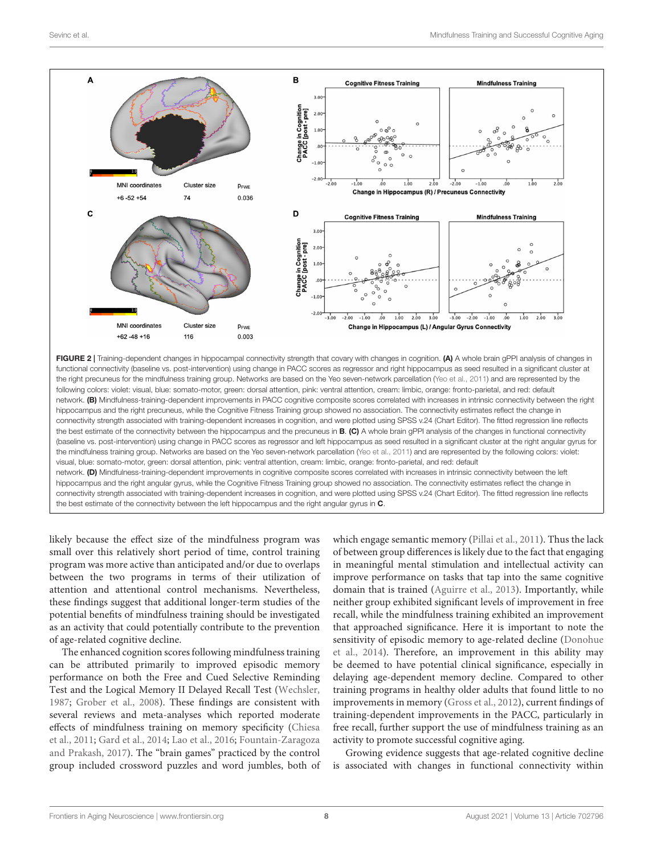

<span id="page-7-0"></span>FIGURE 2 | Training-dependent changes in hippocampal connectivity strength that covary with changes in cognition. (A) A whole brain gPPI analysis of changes in functional connectivity (baseline vs. post-intervention) using change in PACC scores as regressor and right hippocampus as seed resulted in a significant cluster at the right precuneus for the mindfulness training group. Networks are based on the Yeo seven-network parcellation [\(Yeo et al.,](#page-12-11) [2011\)](#page-12-11) and are represented by the following colors: violet: visual, blue: somato-motor, green: dorsal attention, pink: ventral attention, cream: limbic, orange: fronto-parietal, and red: default network. (B) Mindfulness-training-dependent improvements in PACC cognitive composite scores correlated with increases in intrinsic connectivity between the right hippocampus and the right precuneus, while the Cognitive Fitness Training group showed no association. The connectivity estimates reflect the change in connectivity strength associated with training-dependent increases in cognition, and were plotted using SPSS v.24 (Chart Editor). The fitted regression line reflects the best estimate of the connectivity between the hippocampus and the precuneus in B. (C) A whole brain gPPI analysis of the changes in functional connectivity (baseline vs. post-intervention) using change in PACC scores as regressor and left hippocampus as seed resulted in a significant cluster at the right angular gyrus for the mindfulness training group. Networks are based on the Yeo seven-network parcellation [\(Yeo et al.,](#page-12-11) [2011\)](#page-12-11) and are represented by the following colors: violet: visual, blue: somato-motor, green: dorsal attention, pink: ventral attention, cream: limbic, orange: fronto-parietal, and red: default network. (D) Mindfulness-training-dependent improvements in cognitive composite scores correlated with increases in intrinsic connectivity between the left hippocampus and the right angular gyrus, while the Cognitive Fitness Training group showed no association. The connectivity estimates reflect the change in connectivity strength associated with training-dependent increases in cognition, and were plotted using SPSS v.24 (Chart Editor). The fitted regression line reflects the best estimate of the connectivity between the left hippocampus and the right angular gyrus in C.

likely because the effect size of the mindfulness program was small over this relatively short period of time, control training program was more active than anticipated and/or due to overlaps between the two programs in terms of their utilization of attention and attentional control mechanisms. Nevertheless, these findings suggest that additional longer-term studies of the potential benefits of mindfulness training should be investigated as an activity that could potentially contribute to the prevention of age-related cognitive decline.

The enhanced cognition scores following mindfulness training can be attributed primarily to improved episodic memory performance on both the Free and Cued Selective Reminding Test and the Logical Memory II Delayed Recall Test [\(Wechsler,](#page-12-6) [1987;](#page-12-6) [Grober et al.,](#page-11-30) [2008\)](#page-11-30). These findings are consistent with several reviews and meta-analyses which reported moderate effects of mindfulness training on memory specificity [\(Chiesa](#page-10-4) [et al.,](#page-10-4) [2011;](#page-10-4) [Gard et al.,](#page-11-1) [2014;](#page-11-1) [Lao et al.,](#page-11-10) [2016;](#page-11-10) [Fountain-Zaragoza](#page-11-2) [and Prakash,](#page-11-2) [2017\)](#page-11-2). The "brain games" practiced by the control group included crossword puzzles and word jumbles, both of which engage semantic memory [\(Pillai et al.,](#page-11-31) [2011\)](#page-11-31). Thus the lack of between group differences is likely due to the fact that engaging in meaningful mental stimulation and intellectual activity can improve performance on tasks that tap into the same cognitive domain that is trained [\(Aguirre et al.,](#page-9-0) [2013\)](#page-9-0). Importantly, while neither group exhibited significant levels of improvement in free recall, while the mindfulness training exhibited an improvement that approached significance. Here it is important to note the sensitivity of episodic memory to age-related decline [\(Donohue](#page-10-18) [et al.,](#page-10-18) [2014\)](#page-10-18). Therefore, an improvement in this ability may be deemed to have potential clinical significance, especially in delaying age-dependent memory decline. Compared to other training programs in healthy older adults that found little to no improvements in memory [\(Gross et al.,](#page-11-32) [2012\)](#page-11-32), current findings of training-dependent improvements in the PACC, particularly in free recall, further support the use of mindfulness training as an activity to promote successful cognitive aging.

Growing evidence suggests that age-related cognitive decline is associated with changes in functional connectivity within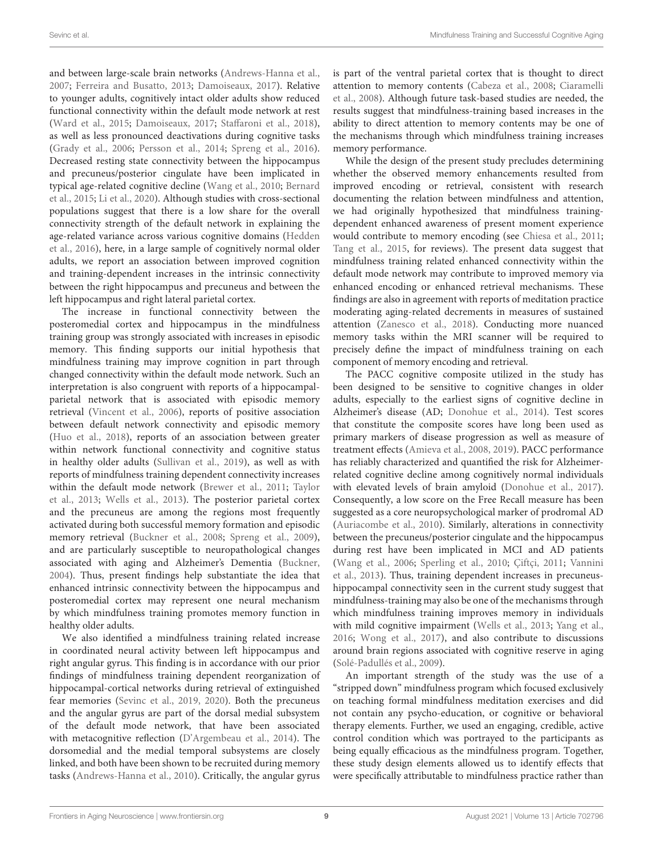and between large-scale brain networks [\(Andrews-Hanna et al.,](#page-10-26) [2007;](#page-10-26) [Ferreira and Busatto,](#page-10-7) [2013;](#page-10-7) [Damoiseaux,](#page-10-27) [2017\)](#page-10-27). Relative to younger adults, cognitively intact older adults show reduced functional connectivity within the default mode network at rest [\(Ward et al.,](#page-12-12) [2015;](#page-12-12) [Damoiseaux,](#page-10-27) [2017;](#page-10-27) [Staffaroni et al.,](#page-12-13) [2018\)](#page-12-13), as well as less pronounced deactivations during cognitive tasks [\(Grady et al.,](#page-11-33) [2006;](#page-11-33) [Persson et al.,](#page-11-18) [2014;](#page-11-18) [Spreng et al.,](#page-12-14) [2016\)](#page-12-14). Decreased resting state connectivity between the hippocampus and precuneus/posterior cingulate have been implicated in typical age-related cognitive decline [\(Wang et al.,](#page-12-2) [2010;](#page-12-2) [Bernard](#page-10-28) [et al.,](#page-10-28) [2015;](#page-10-28) [Li et al.,](#page-11-34) [2020\)](#page-11-34). Although studies with cross-sectional populations suggest that there is a low share for the overall connectivity strength of the default network in explaining the age-related variance across various cognitive domains [\(Hedden](#page-11-35) [et al.,](#page-11-35) [2016\)](#page-11-35), here, in a large sample of cognitively normal older adults, we report an association between improved cognition and training-dependent increases in the intrinsic connectivity between the right hippocampus and precuneus and between the left hippocampus and right lateral parietal cortex.

The increase in functional connectivity between the posteromedial cortex and hippocampus in the mindfulness training group was strongly associated with increases in episodic memory. This finding supports our initial hypothesis that mindfulness training may improve cognition in part through changed connectivity within the default mode network. Such an interpretation is also congruent with reports of a hippocampalparietal network that is associated with episodic memory retrieval [\(Vincent et al.,](#page-12-15) [2006\)](#page-12-15), reports of positive association between default network connectivity and episodic memory [\(Huo et al.,](#page-11-36) [2018\)](#page-11-36), reports of an association between greater within network functional connectivity and cognitive status in healthy older adults [\(Sullivan et al.,](#page-12-16) [2019\)](#page-12-16), as well as with reports of mindfulness training dependent connectivity increases within the default mode network [\(Brewer et al.,](#page-10-16) [2011;](#page-10-16) [Taylor](#page-12-5) [et al.,](#page-12-5) [2013;](#page-12-5) [Wells et al.,](#page-12-3) [2013\)](#page-12-3). The posterior parietal cortex and the precuneus are among the regions most frequently activated during both successful memory formation and episodic memory retrieval [\(Buckner et al.,](#page-10-29) [2008;](#page-10-29) [Spreng et al.,](#page-12-17) [2009\)](#page-12-17), and are particularly susceptible to neuropathological changes associated with aging and Alzheimer's Dementia [\(Buckner,](#page-10-30) [2004\)](#page-10-30). Thus, present findings help substantiate the idea that enhanced intrinsic connectivity between the hippocampus and posteromedial cortex may represent one neural mechanism by which mindfulness training promotes memory function in healthy older adults.

We also identified a mindfulness training related increase in coordinated neural activity between left hippocampus and right angular gyrus. This finding is in accordance with our prior findings of mindfulness training dependent reorganization of hippocampal-cortical networks during retrieval of extinguished fear memories [\(Sevinc et al.,](#page-11-37) [2019,](#page-11-37) [2020\)](#page-11-38). Both the precuneus and the angular gyrus are part of the dorsal medial subsystem of the default mode network, that have been associated with metacognitive reflection [\(D'Argembeau et al.,](#page-10-31) [2014\)](#page-10-31). The dorsomedial and the medial temporal subsystems are closely linked, and both have been shown to be recruited during memory tasks [\(Andrews-Hanna et al.,](#page-10-32) [2010\)](#page-10-32). Critically, the angular gyrus is part of the ventral parietal cortex that is thought to direct attention to memory contents [\(Cabeza et al.,](#page-10-33) [2008;](#page-10-33) [Ciaramelli](#page-10-34) [et al.,](#page-10-34) [2008\)](#page-10-34). Although future task-based studies are needed, the results suggest that mindfulness-training based increases in the ability to direct attention to memory contents may be one of the mechanisms through which mindfulness training increases memory performance.

While the design of the present study precludes determining whether the observed memory enhancements resulted from improved encoding or retrieval, consistent with research documenting the relation between mindfulness and attention, we had originally hypothesized that mindfulness trainingdependent enhanced awareness of present moment experience would contribute to memory encoding (see [Chiesa et al.,](#page-10-4) [2011;](#page-10-4) [Tang et al.,](#page-12-18) [2015,](#page-12-18) for reviews). The present data suggest that mindfulness training related enhanced connectivity within the default mode network may contribute to improved memory via enhanced encoding or enhanced retrieval mechanisms. These findings are also in agreement with reports of meditation practice moderating aging-related decrements in measures of sustained attention [\(Zanesco et al.,](#page-12-19) [2018\)](#page-12-19). Conducting more nuanced memory tasks within the MRI scanner will be required to precisely define the impact of mindfulness training on each component of memory encoding and retrieval.

The PACC cognitive composite utilized in the study has been designed to be sensitive to cognitive changes in older adults, especially to the earliest signs of cognitive decline in Alzheimer's disease (AD; [Donohue et al.,](#page-10-18) [2014\)](#page-10-18). Test scores that constitute the composite scores have long been used as primary markers of disease progression as well as measure of treatment effects [\(Amieva et al.,](#page-9-1) [2008,](#page-9-1) [2019\)](#page-9-2). PACC performance has reliably characterized and quantified the risk for Alzheimerrelated cognitive decline among cognitively normal individuals with elevated levels of brain amyloid [\(Donohue et al.,](#page-10-35) [2017\)](#page-10-35). Consequently, a low score on the Free Recall measure has been suggested as a core neuropsychological marker of prodromal AD [\(Auriacombe et al.,](#page-10-36) [2010\)](#page-10-36). Similarly, alterations in connectivity between the precuneus/posterior cingulate and the hippocampus during rest have been implicated in MCI and AD patients [\(Wang et al.,](#page-12-20) [2006;](#page-12-20) [Sperling et al.,](#page-12-1) [2010;](#page-12-1) [Çiftçi,](#page-10-37) [2011;](#page-10-37) [Vannini](#page-12-21) [et al.,](#page-12-21) [2013\)](#page-12-21). Thus, training dependent increases in precuneushippocampal connectivity seen in the current study suggest that mindfulness-training may also be one of the mechanisms through which mindfulness training improves memory in individuals with mild cognitive impairment [\(Wells et al.,](#page-12-3) [2013;](#page-12-3) [Yang et al.,](#page-12-4) [2016;](#page-12-4) [Wong et al.,](#page-12-22) [2017\)](#page-12-22), and also contribute to discussions around brain regions associated with cognitive reserve in aging [\(Solé-Padullés et al.,](#page-12-23) [2009\)](#page-12-23).

An important strength of the study was the use of a "stripped down" mindfulness program which focused exclusively on teaching formal mindfulness meditation exercises and did not contain any psycho-education, or cognitive or behavioral therapy elements. Further, we used an engaging, credible, active control condition which was portrayed to the participants as being equally efficacious as the mindfulness program. Together, these study design elements allowed us to identify effects that were specifically attributable to mindfulness practice rather than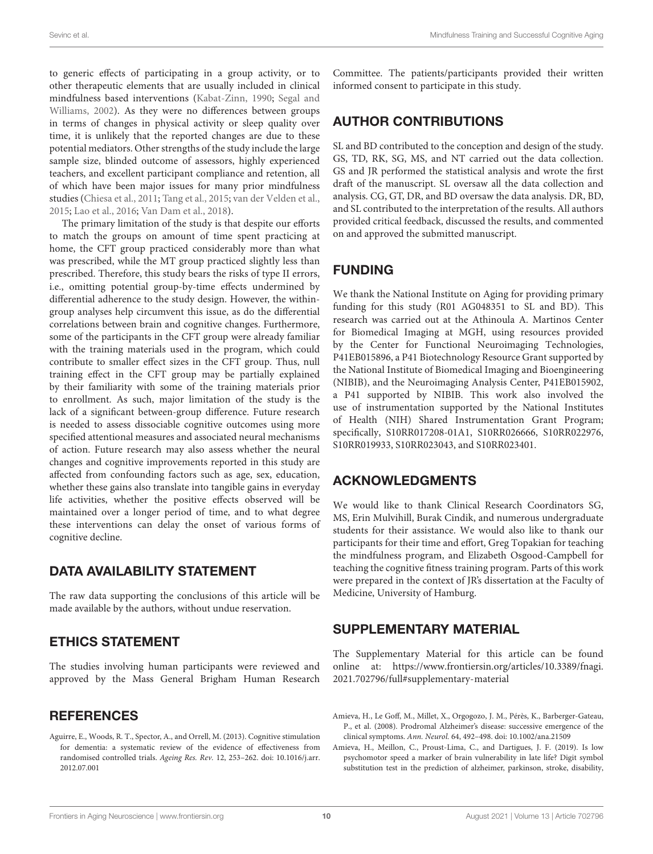to generic effects of participating in a group activity, or to other therapeutic elements that are usually included in clinical mindfulness based interventions [\(Kabat-Zinn,](#page-11-29) [1990;](#page-11-29) [Segal and](#page-11-39) [Williams,](#page-11-39) [2002\)](#page-11-39). As they were no differences between groups in terms of changes in physical activity or sleep quality over time, it is unlikely that the reported changes are due to these potential mediators. Other strengths of the study include the large sample size, blinded outcome of assessors, highly experienced teachers, and excellent participant compliance and retention, all of which have been major issues for many prior mindfulness studies [\(Chiesa et al.,](#page-10-4) [2011;](#page-10-4) [Tang et al.,](#page-12-18) [2015;](#page-12-18) [van der Velden et al.,](#page-12-24) [2015;](#page-12-24) [Lao et al.,](#page-11-10) [2016;](#page-11-10) [Van Dam et al.,](#page-12-25) [2018\)](#page-12-25).

The primary limitation of the study is that despite our efforts to match the groups on amount of time spent practicing at home, the CFT group practiced considerably more than what was prescribed, while the MT group practiced slightly less than prescribed. Therefore, this study bears the risks of type II errors, i.e., omitting potential group-by-time effects undermined by differential adherence to the study design. However, the withingroup analyses help circumvent this issue, as do the differential correlations between brain and cognitive changes. Furthermore, some of the participants in the CFT group were already familiar with the training materials used in the program, which could contribute to smaller effect sizes in the CFT group. Thus, null training effect in the CFT group may be partially explained by their familiarity with some of the training materials prior to enrollment. As such, major limitation of the study is the lack of a significant between-group difference. Future research is needed to assess dissociable cognitive outcomes using more specified attentional measures and associated neural mechanisms of action. Future research may also assess whether the neural changes and cognitive improvements reported in this study are affected from confounding factors such as age, sex, education, whether these gains also translate into tangible gains in everyday life activities, whether the positive effects observed will be maintained over a longer period of time, and to what degree these interventions can delay the onset of various forms of cognitive decline.

### DATA AVAILABILITY STATEMENT

The raw data supporting the conclusions of this article will be made available by the authors, without undue reservation.

### ETHICS STATEMENT

The studies involving human participants were reviewed and approved by the Mass General Brigham Human Research

### **REFERENCES**

<span id="page-9-0"></span>Aguirre, E., Woods, R. T., Spector, A., and Orrell, M. (2013). Cognitive stimulation for dementia: a systematic review of the evidence of effectiveness from randomised controlled trials. Ageing Res. Rev. 12, 253–262. [doi: 10.1016/j.arr.](https://doi.org/10.1016/j.arr.2012.07.001) [2012.07.001](https://doi.org/10.1016/j.arr.2012.07.001)

Committee. The patients/participants provided their written informed consent to participate in this study.

### AUTHOR CONTRIBUTIONS

SL and BD contributed to the conception and design of the study. GS, TD, RK, SG, MS, and NT carried out the data collection. GS and JR performed the statistical analysis and wrote the first draft of the manuscript. SL oversaw all the data collection and analysis. CG, GT, DR, and BD oversaw the data analysis. DR, BD, and SL contributed to the interpretation of the results. All authors provided critical feedback, discussed the results, and commented on and approved the submitted manuscript.

### FUNDING

We thank the National Institute on Aging for providing primary funding for this study (R01 AG048351 to SL and BD). This research was carried out at the Athinoula A. Martinos Center for Biomedical Imaging at MGH, using resources provided by the Center for Functional Neuroimaging Technologies, P41EB015896, a P41 Biotechnology Resource Grant supported by the National Institute of Biomedical Imaging and Bioengineering (NIBIB), and the Neuroimaging Analysis Center, P41EB015902, a P41 supported by NIBIB. This work also involved the use of instrumentation supported by the National Institutes of Health (NIH) Shared Instrumentation Grant Program; specifically, S10RR017208-01A1, S10RR026666, S10RR022976, S10RR019933, S10RR023043, and S10RR023401.

### ACKNOWLEDGMENTS

We would like to thank Clinical Research Coordinators SG, MS, Erin Mulvihill, Burak Cindik, and numerous undergraduate students for their assistance. We would also like to thank our participants for their time and effort, Greg Topakian for teaching the mindfulness program, and Elizabeth Osgood-Campbell for teaching the cognitive fitness training program. Parts of this work were prepared in the context of JR's dissertation at the Faculty of Medicine, University of Hamburg.

### SUPPLEMENTARY MATERIAL

The Supplementary Material for this article can be found online at: [https://www.frontiersin.org/articles/10.3389/fnagi.](https://www.frontiersin.org/articles/10.3389/fnagi.2021.702796/full#supplementary-material) [2021.702796/full#supplementary-material](https://www.frontiersin.org/articles/10.3389/fnagi.2021.702796/full#supplementary-material)

<span id="page-9-1"></span>Amieva, H., Le Goff, M., Millet, X., Orgogozo, J. M., Pérès, K., Barberger-Gateau, P., et al. (2008). Prodromal Alzheimer's disease: successive emergence of the clinical symptoms. Ann. Neurol. 64, 492–498. [doi: 10.1002/ana.21509](https://doi.org/10.1002/ana.21509)

<span id="page-9-2"></span>Amieva, H., Meillon, C., Proust-Lima, C., and Dartigues, J. F. (2019). Is low psychomotor speed a marker of brain vulnerability in late life? Digit symbol substitution test in the prediction of alzheimer, parkinson, stroke, disability,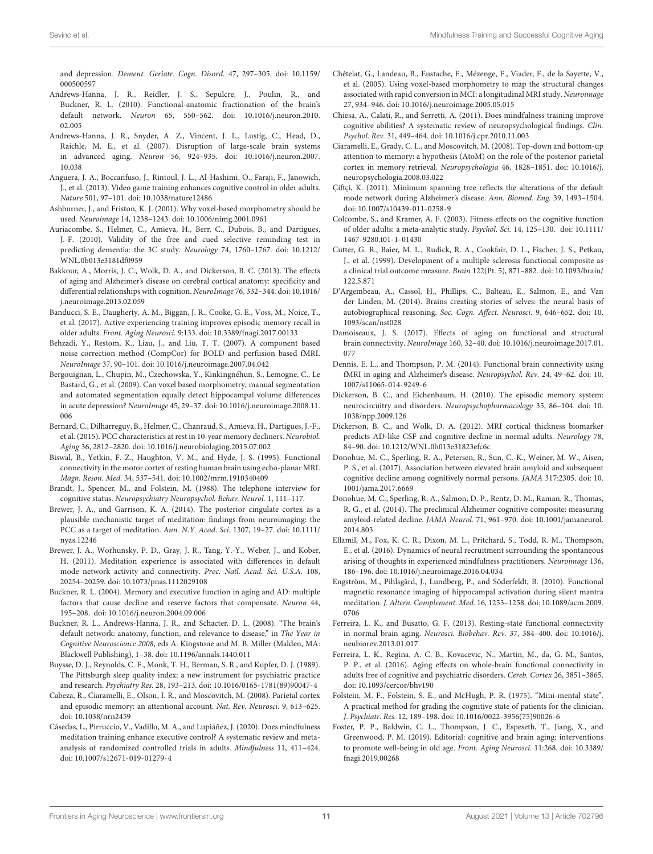and depression. Dement. Geriatr. Cogn. Disord. 47, 297–305. [doi: 10.1159/](https://doi.org/10.1159/000500597) [000500597](https://doi.org/10.1159/000500597)

- <span id="page-10-32"></span>Andrews-Hanna, J. R., Reidler, J. S., Sepulcre, J., Poulin, R., and Buckner, R. L. (2010). Functional-anatomic fractionation of the brain's default network. Neuron 65, 550–562. [doi: 10.1016/j.neuron.2010.](https://doi.org/10.1016/j.neuron.2010.02.005) [02.005](https://doi.org/10.1016/j.neuron.2010.02.005)
- <span id="page-10-26"></span>Andrews-Hanna, J. R., Snyder, A. Z., Vincent, J. L., Lustig, C., Head, D., Raichle, M. E., et al. (2007). Disruption of large-scale brain systems in advanced aging. Neuron 56, 924–935. [doi: 10.1016/j.neuron.2007.](https://doi.org/10.1016/j.neuron.2007.10.038) [10.038](https://doi.org/10.1016/j.neuron.2007.10.038)
- <span id="page-10-0"></span>Anguera, J. A., Boccanfuso, J., Rintoul, J. L., Al-Hashimi, O., Faraji, F., Janowich, J., et al. (2013). Video game training enhances cognitive control in older adults. Nature 501, 97–101. [doi: 10.1038/nature12486](https://doi.org/10.1038/nature12486)
- <span id="page-10-23"></span>Ashburner, J., and Friston, K. J. (2001). Why voxel-based morphometry should be used. Neuroimage 14, 1238–1243. [doi: 10.1006/nimg.2001.0961](https://doi.org/10.1006/nimg.2001.0961)
- <span id="page-10-36"></span>Auriacombe, S., Helmer, C., Amieva, H., Berr, C., Dubois, B., and Dartigues, J.-F. (2010). Validity of the free and cued selective reminding test in predicting dementia: the 3C study. Neurology 74, 1760–1767. [doi: 10.1212/](https://doi.org/10.1212/WNL.0b013e3181df0959) [WNL.0b013e3181df0959](https://doi.org/10.1212/WNL.0b013e3181df0959)
- <span id="page-10-11"></span>Bakkour, A., Morris, J. C., Wolk, D. A., and Dickerson, B. C. (2013). The effects of aging and Alzheimer's disease on cerebral cortical anatomy: specificity and differential relationships with cognition. NeuroImage 76, 332–344. [doi: 10.1016/](https://doi.org/10.1016/j.neuroimage.2013.02.059) [j.neuroimage.2013.02.059](https://doi.org/10.1016/j.neuroimage.2013.02.059)
- <span id="page-10-1"></span>Banducci, S. E., Daugherty, A. M., Biggan, J. R., Cooke, G. E., Voss, M., Noice, T., et al. (2017). Active experiencing training improves episodic memory recall in older adults. Front. Aging Neurosci. 9:133. [doi: 10.3389/fnagi.2017.00133](https://doi.org/10.3389/fnagi.2017.00133)
- <span id="page-10-25"></span>Behzadi, Y., Restom, K., Liau, J., and Liu, T. T. (2007). A component based noise correction method (CompCor) for BOLD and perfusion based fMRI. NeuroImage 37, 90–101. [doi: 10.1016/j.neuroimage.2007.04.042](https://doi.org/10.1016/j.neuroimage.2007.04.042)
- <span id="page-10-24"></span>Bergouignan, L., Chupin, M., Czechowska, Y., Kinkingnéhun, S., Lemogne, C., Le Bastard, G., et al. (2009). Can voxel based morphometry, manual segmentation and automated segmentation equally detect hippocampal volume differences in acute depression? NeuroImage 45, 29–37. [doi: 10.1016/j.neuroimage.2008.11.](https://doi.org/10.1016/j.neuroimage.2008.11.006) [006](https://doi.org/10.1016/j.neuroimage.2008.11.006)
- <span id="page-10-28"></span>Bernard, C., Dilharreguy, B., Helmer, C., Chanraud, S., Amieva, H., Dartigues, J.-F., et al. (2015). PCC characteristics at rest in 10-year memory decliners. Neurobiol. Aging 36, 2812–2820. [doi: 10.1016/j.neurobiolaging.2015.07.002](https://doi.org/10.1016/j.neurobiolaging.2015.07.002)
- <span id="page-10-6"></span>Biswal, B., Yetkin, F. Z., Haughton, V. M., and Hyde, J. S. (1995). Functional connectivity in the motor cortex of resting human brain using echo-planar MRI. Magn. Reson. Med. 34, 537–541. [doi: 10.1002/mrm.1910340409](https://doi.org/10.1002/mrm.1910340409)
- <span id="page-10-19"></span>Brandt, J., Spencer, M., and Folstein, M. (1988). The telephone interview for cognitive status. Neuropsychiatry Neuropsychol. Behav. Neurol. 1, 111–117.
- <span id="page-10-17"></span>Brewer, J. A., and Garrison, K. A. (2014). The posterior cingulate cortex as a plausible mechanistic target of meditation: findings from neuroimaging: the PCC as a target of meditation. Ann. N.Y. Acad. Sci. 1307, 19–27. [doi: 10.1111/](https://doi.org/10.1111/nyas.12246) [nyas.12246](https://doi.org/10.1111/nyas.12246)
- <span id="page-10-16"></span>Brewer, J. A., Worhunsky, P. D., Gray, J. R., Tang, Y.-Y., Weber, J., and Kober, H. (2011). Meditation experience is associated with differences in default mode network activity and connectivity. Proc. Natl. Acad. Sci. U.S.A. 108, 20254–20259. [doi: 10.1073/pnas.1112029108](https://doi.org/10.1073/pnas.1112029108)
- <span id="page-10-30"></span>Buckner, R. L. (2004). Memory and executive function in aging and AD: multiple factors that cause decline and reserve factors that compensate. Neuron 44, 195–208. [doi: 10.1016/j.neuron.2004.09.006](https://doi.org/10.1016/j.neuron.2004.09.006)
- <span id="page-10-29"></span>Buckner, R. L., Andrews-Hanna, J. R., and Schacter, D. L. (2008). "The brain's default network: anatomy, function, and relevance to disease," in The Year in Cognitive Neuroscience 2008, eds A. Kingstone and M. B. Miller (Malden, MA: Blackwell Publishing), 1–38. [doi: 10.1196/annals.1440.011](https://doi.org/10.1196/annals.1440.011)
- <span id="page-10-20"></span>Buysse, D. J., Reynolds, C. F., Monk, T. H., Berman, S. R., and Kupfer, D. J. (1989). The Pittsburgh sleep quality index: a new instrument for psychiatric practice and research. Psychiatry Res. 28, 193–213. [doi: 10.1016/0165-1781\(89\)90047-4](https://doi.org/10.1016/0165-1781(89)90047-4)
- <span id="page-10-33"></span>Cabeza, R., Ciaramelli, E., Olson, I. R., and Moscovitch, M. (2008). Parietal cortex and episodic memory: an attentional account. Nat. Rev. Neurosci. 9, 613–625. [doi: 10.1038/nrn2459](https://doi.org/10.1038/nrn2459)
- <span id="page-10-5"></span>Cásedas, L., Pirruccio, V., Vadillo, M. A., and Lupiáñez, J. (2020). Does mindfulness meditation training enhance executive control? A systematic review and metaanalysis of randomized controlled trials in adults. Mindfulness 11, 411–424. [doi: 10.1007/s12671-019-01279-4](https://doi.org/10.1007/s12671-019-01279-4)
- <span id="page-10-13"></span>Chételat, G., Landeau, B., Eustache, F., Mézenge, F., Viader, F., de la Sayette, V., et al. (2005). Using voxel-based morphometry to map the structural changes associated with rapid conversion in MCI: a longitudinal MRI study. Neuroimage 27, 934–946. [doi: 10.1016/j.neuroimage.2005.05.015](https://doi.org/10.1016/j.neuroimage.2005.05.015)
- <span id="page-10-4"></span>Chiesa, A., Calati, R., and Serretti, A. (2011). Does mindfulness training improve cognitive abilities? A systematic review of neuropsychological findings. Clin. Psychol. Rev. 31, 449–464. [doi: 10.1016/j.cpr.2010.11.003](https://doi.org/10.1016/j.cpr.2010.11.003)
- <span id="page-10-34"></span>Ciaramelli, E., Grady, C. L., and Moscovitch, M. (2008). Top-down and bottom-up attention to memory: a hypothesis (AtoM) on the role of the posterior parietal cortex in memory retrieval. Neuropsychologia 46, 1828–1851. [doi: 10.1016/j.](https://doi.org/10.1016/j.neuropsychologia.2008.03.022) [neuropsychologia.2008.03.022](https://doi.org/10.1016/j.neuropsychologia.2008.03.022)
- <span id="page-10-37"></span>Çiftçi, K. (2011). Minimum spanning tree reflects the alterations of the default mode network during Alzheimer's disease. Ann. Biomed. Eng. 39, 1493–1504. [doi: 10.1007/s10439-011-0258-9](https://doi.org/10.1007/s10439-011-0258-9)
- <span id="page-10-3"></span>Colcombe, S., and Kramer, A. F. (2003). Fitness effects on the cognitive function of older adults: a meta-analytic study. Psychol. Sci. 14, 125–130. [doi: 10.1111/](https://doi.org/10.1111/1467-9280.t01-1-01430) [1467-9280.t01-1-01430](https://doi.org/10.1111/1467-9280.t01-1-01430)
- <span id="page-10-22"></span>Cutter, G. R., Baier, M. L., Rudick, R. A., Cookfair, D. L., Fischer, J. S., Petkau, J., et al. (1999). Development of a multiple sclerosis functional composite as a clinical trial outcome measure. Brain 122(Pt. 5), 871–882. [doi: 10.1093/brain/](https://doi.org/10.1093/brain/122.5.871) [122.5.871](https://doi.org/10.1093/brain/122.5.871)
- <span id="page-10-31"></span>D'Argembeau, A., Cassol, H., Phillips, C., Balteau, E., Salmon, E., and Van der Linden, M. (2014). Brains creating stories of selves: the neural basis of autobiographical reasoning. Soc. Cogn. Affect. Neurosci. 9, 646–652. [doi: 10.](https://doi.org/10.1093/scan/nst028) [1093/scan/nst028](https://doi.org/10.1093/scan/nst028)
- <span id="page-10-27"></span>Damoiseaux, J. S. (2017). Effects of aging on functional and structural brain connectivity. NeuroImage 160, 32–40. [doi: 10.1016/j.neuroimage.2017.01.](https://doi.org/10.1016/j.neuroimage.2017.01.077) [077](https://doi.org/10.1016/j.neuroimage.2017.01.077)
- <span id="page-10-8"></span>Dennis, E. L., and Thompson, P. M. (2014). Functional brain connectivity using fMRI in aging and Alzheimer's disease. Neuropsychol. Rev. 24, 49–62. [doi: 10.](https://doi.org/10.1007/s11065-014-9249-6) [1007/s11065-014-9249-6](https://doi.org/10.1007/s11065-014-9249-6)
- <span id="page-10-9"></span>Dickerson, B. C., and Eichenbaum, H. (2010). The episodic memory system: neurocircuitry and disorders. Neuropsychopharmacology 35, 86–104. [doi: 10.](https://doi.org/10.1038/npp.2009.126) [1038/npp.2009.126](https://doi.org/10.1038/npp.2009.126)
- <span id="page-10-12"></span>Dickerson, B. C., and Wolk, D. A. (2012). MRI cortical thickness biomarker predicts AD-like CSF and cognitive decline in normal adults. Neurology 78, 84–90. [doi: 10.1212/WNL.0b013e31823efc6c](https://doi.org/10.1212/WNL.0b013e31823efc6c)
- <span id="page-10-35"></span>Donohue, M. C., Sperling, R. A., Petersen, R., Sun, C.-K., Weiner, M. W., Aisen, P. S., et al. (2017). Association between elevated brain amyloid and subsequent cognitive decline among cognitively normal persons. JAMA 317:2305. [doi: 10.](https://doi.org/10.1001/jama.2017.6669) [1001/jama.2017.6669](https://doi.org/10.1001/jama.2017.6669)
- <span id="page-10-18"></span>Donohue, M. C., Sperling, R. A., Salmon, D. P., Rentz, D. M., Raman, R., Thomas, R. G., et al. (2014). The preclinical Alzheimer cognitive composite: measuring amyloid-related decline. JAMA Neurol. 71, 961–970. [doi: 10.1001/jamaneurol.](https://doi.org/10.1001/jamaneurol.2014.803) [2014.803](https://doi.org/10.1001/jamaneurol.2014.803)
- <span id="page-10-15"></span>Ellamil, M., Fox, K. C. R., Dixon, M. L., Pritchard, S., Todd, R. M., Thompson, E., et al. (2016). Dynamics of neural recruitment surrounding the spontaneous arising of thoughts in experienced mindfulness practitioners. Neuroimage 136, 186–196. [doi: 10.1016/j.neuroimage.2016.04.034](https://doi.org/10.1016/j.neuroimage.2016.04.034)
- <span id="page-10-14"></span>Engström, M., Pihlsgård, J., Lundberg, P., and Söderfeldt, B. (2010). Functional magnetic resonance imaging of hippocampal activation during silent mantra meditation. J. Altern. Complement. Med. 16, 1253–1258. [doi: 10.1089/acm.2009.](https://doi.org/10.1089/acm.2009.0706) [0706](https://doi.org/10.1089/acm.2009.0706)
- <span id="page-10-7"></span>Ferreira, L. K., and Busatto, G. F. (2013). Resting-state functional connectivity in normal brain aging. Neurosci. Biobehav. Rev. 37, 384–400. [doi: 10.1016/j.](https://doi.org/10.1016/j.neubiorev.2013.01.017) [neubiorev.2013.01.017](https://doi.org/10.1016/j.neubiorev.2013.01.017)
- <span id="page-10-10"></span>Ferreira, L. K., Regina, A. C. B., Kovacevic, N., Martin, M., da, G. M., Santos, P. P., et al. (2016). Aging effects on whole-brain functional connectivity in adults free of cognitive and psychiatric disorders. Cereb. Cortex 26, 3851–3865. [doi: 10.1093/cercor/bhv190](https://doi.org/10.1093/cercor/bhv190)
- <span id="page-10-21"></span>Folstein, M. F., Folstein, S. E., and McHugh, P. R. (1975). "Mini-mental state". A practical method for grading the cognitive state of patients for the clinician. J. Psychiatr. Res. 12, 189–198. [doi: 10.1016/0022-3956\(75\)90026-6](https://doi.org/10.1016/0022-3956(75)90026-6)
- <span id="page-10-2"></span>Foster, P. P., Baldwin, C. L., Thompson, J. C., Espeseth, T., Jiang, X., and Greenwood, P. M. (2019). Editorial: cognitive and brain aging: interventions to promote well-being in old age. Front. Aging Neurosci. 11:268. [doi: 10.3389/](https://doi.org/10.3389/fnagi.2019.00268) [fnagi.2019.00268](https://doi.org/10.3389/fnagi.2019.00268)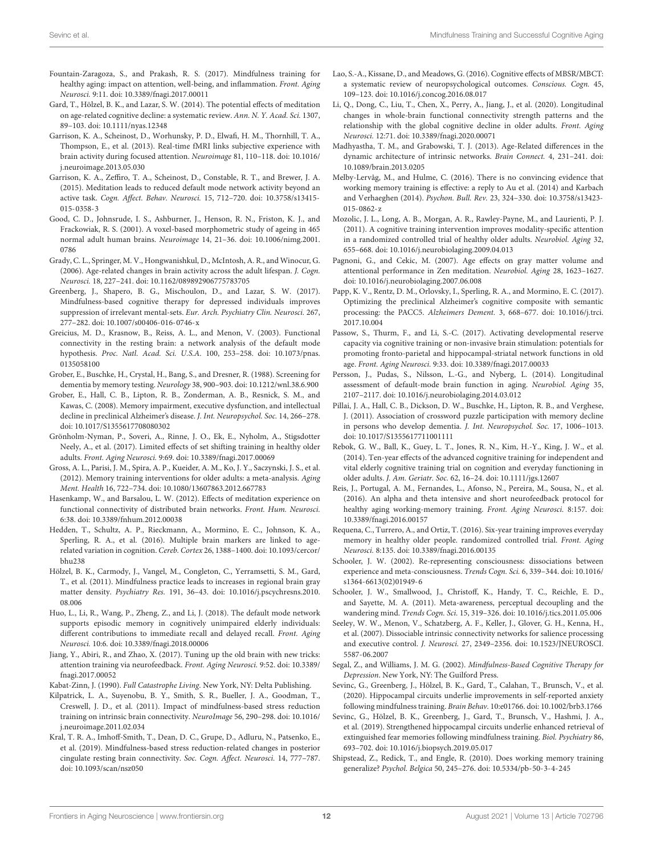- <span id="page-11-2"></span>Fountain-Zaragoza, S., and Prakash, R. S. (2017). Mindfulness training for healthy aging: impact on attention, well-being, and inflammation. Front. Aging Neurosci. 9:11. [doi: 10.3389/fnagi.2017.00011](https://doi.org/10.3389/fnagi.2017.00011)
- <span id="page-11-1"></span>Gard, T., Hölzel, B. K., and Lazar, S. W. (2014). The potential effects of meditation on age-related cognitive decline: a systematic review. Ann. N. Y. Acad. Sci. 1307, 89–103. [doi: 10.1111/nyas.12348](https://doi.org/10.1111/nyas.12348)
- <span id="page-11-23"></span>Garrison, K. A., Scheinost, D., Worhunsky, P. D., Elwafi, H. M., Thornhill, T. A., Thompson, E., et al. (2013). Real-time fMRI links subjective experience with brain activity during focused attention. Neuroimage 81, 110–118. [doi: 10.1016/](https://doi.org/10.1016/j.neuroimage.2013.05.030) [j.neuroimage.2013.05.030](https://doi.org/10.1016/j.neuroimage.2013.05.030)
- <span id="page-11-25"></span>Garrison, K. A., Zeffiro, T. A., Scheinost, D., Constable, R. T., and Brewer, J. A. (2015). Meditation leads to reduced default mode network activity beyond an active task. Cogn. Affect. Behav. Neurosci. 15, 712–720. [doi: 10.3758/s13415-](https://doi.org/10.3758/s13415-015-0358-3) [015-0358-3](https://doi.org/10.3758/s13415-015-0358-3)
- <span id="page-11-19"></span>Good, C. D., Johnsrude, I. S., Ashburner, J., Henson, R. N., Friston, K. J., and Frackowiak, R. S. (2001). A voxel-based morphometric study of ageing in 465 normal adult human brains. Neuroimage 14, 21–36. [doi: 10.1006/nimg.2001.](https://doi.org/10.1006/nimg.2001.0786) [0786](https://doi.org/10.1006/nimg.2001.0786)
- <span id="page-11-33"></span>Grady, C. L., Springer, M. V., Hongwanishkul, D., McIntosh, A. R., and Winocur, G. (2006). Age-related changes in brain activity across the adult lifespan. J. Cogn. Neurosci. 18, 227–241. [doi: 10.1162/089892906775783705](https://doi.org/10.1162/089892906775783705)
- <span id="page-11-21"></span>Greenberg, J., Shapero, B. G., Mischoulon, D., and Lazar, S. W. (2017). Mindfulness-based cognitive therapy for depressed individuals improves suppression of irrelevant mental-sets. Eur. Arch. Psychiatry Clin. Neurosci. 267, 277–282. [doi: 10.1007/s00406-016-0746-x](https://doi.org/10.1007/s00406-016-0746-x)
- <span id="page-11-15"></span>Greicius, M. D., Krasnow, B., Reiss, A. L., and Menon, V. (2003). Functional connectivity in the resting brain: a network analysis of the default mode hypothesis. Proc. Natl. Acad. Sci. U.S.A. 100, 253–258. [doi: 10.1073/pnas.](https://doi.org/10.1073/pnas.0135058100) [0135058100](https://doi.org/10.1073/pnas.0135058100)
- <span id="page-11-28"></span>Grober, E., Buschke, H., Crystal, H., Bang, S., and Dresner, R. (1988). Screening for dementia by memory testing. Neurology 38, 900–903. [doi: 10.1212/wnl.38.6.900](https://doi.org/10.1212/wnl.38.6.900)
- <span id="page-11-30"></span>Grober, E., Hall, C. B., Lipton, R. B., Zonderman, A. B., Resnick, S. M., and Kawas, C. (2008). Memory impairment, executive dysfunction, and intellectual decline in preclinical Alzheimer's disease. J. Int. Neuropsychol. Soc. 14, 266–278. [doi: 10.1017/S1355617708080302](https://doi.org/10.1017/S1355617708080302)
- <span id="page-11-9"></span>Grönholm-Nyman, P., Soveri, A., Rinne, J. O., Ek, E., Nyholm, A., Stigsdotter Neely, A., et al. (2017). Limited effects of set shifting training in healthy older adults. Front. Aging Neurosci. 9:69. [doi: 10.3389/fnagi.2017.00069](https://doi.org/10.3389/fnagi.2017.00069)
- <span id="page-11-32"></span>Gross, A. L., Parisi, J. M., Spira, A. P., Kueider, A. M., Ko, J. Y., Saczynski, J. S., et al. (2012). Memory training interventions for older adults: a meta-analysis. Aging Ment. Health 16, 722–734. [doi: 10.1080/13607863.2012.667783](https://doi.org/10.1080/13607863.2012.667783)
- <span id="page-11-22"></span>Hasenkamp, W., and Barsalou, L. W. (2012). Effects of meditation experience on functional connectivity of distributed brain networks. Front. Hum. Neurosci. 6:38. [doi: 10.3389/fnhum.2012.00038](https://doi.org/10.3389/fnhum.2012.00038)
- <span id="page-11-35"></span>Hedden, T., Schultz, A. P., Rieckmann, A., Mormino, E. C., Johnson, K. A., Sperling, R. A., et al. (2016). Multiple brain markers are linked to agerelated variation in cognition. Cereb. Cortex 26, 1388–1400. [doi: 10.1093/cercor/](https://doi.org/10.1093/cercor/bhu238) [bhu238](https://doi.org/10.1093/cercor/bhu238)
- <span id="page-11-20"></span>Hölzel, B. K., Carmody, J., Vangel, M., Congleton, C., Yerramsetti, S. M., Gard, T., et al. (2011). Mindfulness practice leads to increases in regional brain gray matter density. Psychiatry Res. 191, 36–43. [doi: 10.1016/j.pscychresns.2010.](https://doi.org/10.1016/j.pscychresns.2010.08.006) [08.006](https://doi.org/10.1016/j.pscychresns.2010.08.006)
- <span id="page-11-36"></span>Huo, L., Li, R., Wang, P., Zheng, Z., and Li, J. (2018). The default mode network supports episodic memory in cognitively unimpaired elderly individuals: different contributions to immediate recall and delayed recall. Front. Aging Neurosci. 10:6. [doi: 10.3389/fnagi.2018.00006](https://doi.org/10.3389/fnagi.2018.00006)
- <span id="page-11-6"></span>Jiang, Y., Abiri, R., and Zhao, X. (2017). Tuning up the old brain with new tricks: attention training via neurofeedback. Front. Aging Neurosci. 9:52. [doi: 10.3389/](https://doi.org/10.3389/fnagi.2017.00052) [fnagi.2017.00052](https://doi.org/10.3389/fnagi.2017.00052)
- <span id="page-11-29"></span>Kabat-Zinn, J. (1990). Full Catastrophe Living. New York, NY: Delta Publishing.
- <span id="page-11-24"></span>Kilpatrick, L. A., Suyenobu, B. Y., Smith, S. R., Bueller, J. A., Goodman, T., Creswell, J. D., et al. (2011). Impact of mindfulness-based stress reduction training on intrinsic brain connectivity. NeuroImage 56, 290–298. [doi: 10.1016/](https://doi.org/10.1016/j.neuroimage.2011.02.034) [j.neuroimage.2011.02.034](https://doi.org/10.1016/j.neuroimage.2011.02.034)
- <span id="page-11-26"></span>Kral, T. R. A., Imhoff-Smith, T., Dean, D. C., Grupe, D., Adluru, N., Patsenko, E., et al. (2019). Mindfulness-based stress reduction-related changes in posterior cingulate resting brain connectivity. Soc. Cogn. Affect. Neurosci. 14, 777–787. [doi: 10.1093/scan/nsz050](https://doi.org/10.1093/scan/nsz050)
- <span id="page-11-10"></span>Lao, S.-A., Kissane, D., and Meadows, G. (2016). Cognitive effects of MBSR/MBCT: a systematic review of neuropsychological outcomes. Conscious. Cogn. 45, 109–123. [doi: 10.1016/j.concog.2016.08.017](https://doi.org/10.1016/j.concog.2016.08.017)
- <span id="page-11-34"></span>Li, Q., Dong, C., Liu, T., Chen, X., Perry, A., Jiang, J., et al. (2020). Longitudinal changes in whole-brain functional connectivity strength patterns and the relationship with the global cognitive decline in older adults. Front. Aging Neurosci. 12:71. [doi: 10.3389/fnagi.2020.00071](https://doi.org/10.3389/fnagi.2020.00071)
- <span id="page-11-17"></span>Madhyastha, T. M., and Grabowski, T. J. (2013). Age-Related differences in the dynamic architecture of intrinsic networks. Brain Connect. 4, 231–241. [doi:](https://doi.org/10.1089/brain.2013.0205) [10.1089/brain.2013.0205](https://doi.org/10.1089/brain.2013.0205)
- <span id="page-11-8"></span>Melby-Lervåg, M., and Hulme, C. (2016). There is no convincing evidence that working memory training is effective: a reply to Au et al. (2014) and Karbach and Verhaeghen (2014). Psychon. Bull. Rev. 23, 324–330. [doi: 10.3758/s13423-](https://doi.org/10.3758/s13423-015-0862-z) [015-0862-z](https://doi.org/10.3758/s13423-015-0862-z)
- <span id="page-11-14"></span>Mozolic, J. L., Long, A. B., Morgan, A. R., Rawley-Payne, M., and Laurienti, P. J. (2011). A cognitive training intervention improves modality-specific attention in a randomized controlled trial of healthy older adults. Neurobiol. Aging 32, 655–668. [doi: 10.1016/j.neurobiolaging.2009.04.013](https://doi.org/10.1016/j.neurobiolaging.2009.04.013)
- <span id="page-11-11"></span>Pagnoni, G., and Cekic, M. (2007). Age effects on gray matter volume and attentional performance in Zen meditation. Neurobiol. Aging 28, 1623–1627. [doi: 10.1016/j.neurobiolaging.2007.06.008](https://doi.org/10.1016/j.neurobiolaging.2007.06.008)
- <span id="page-11-27"></span>Papp, K. V., Rentz, D. M., Orlovsky, I., Sperling, R. A., and Mormino, E. C. (2017). Optimizing the preclinical Alzheimer's cognitive composite with semantic processing: the PACC5. Alzheimers Dement. 3, 668–677. [doi: 10.1016/j.trci.](https://doi.org/10.1016/j.trci.2017.10.004) [2017.10.004](https://doi.org/10.1016/j.trci.2017.10.004)
- <span id="page-11-4"></span>Passow, S., Thurm, F., and Li, S.-C. (2017). Activating developmental reserve capacity via cognitive training or non-invasive brain stimulation: potentials for promoting fronto-parietal and hippocampal-striatal network functions in old age. Front. Aging Neurosci. 9:33. [doi: 10.3389/fnagi.2017.00033](https://doi.org/10.3389/fnagi.2017.00033)
- <span id="page-11-18"></span>Persson, J., Pudas, S., Nilsson, L.-G., and Nyberg, L. (2014). Longitudinal assessment of default-mode brain function in aging. Neurobiol. Aging 35, 2107–2117. [doi: 10.1016/j.neurobiolaging.2014.03.012](https://doi.org/10.1016/j.neurobiolaging.2014.03.012)
- <span id="page-11-31"></span>Pillai, J. A., Hall, C. B., Dickson, D. W., Buschke, H., Lipton, R. B., and Verghese, J. (2011). Association of crossword puzzle participation with memory decline in persons who develop dementia. J. Int. Neuropsychol. Soc. 17, 1006–1013. [doi: 10.1017/S1355617711001111](https://doi.org/10.1017/S1355617711001111)
- <span id="page-11-0"></span>Rebok, G. W., Ball, K., Guey, L. T., Jones, R. N., Kim, H.-Y., King, J. W., et al. (2014). Ten-year effects of the advanced cognitive training for independent and vital elderly cognitive training trial on cognition and everyday functioning in older adults. J. Am. Geriatr. Soc. 62, 16–24. [doi: 10.1111/jgs.12607](https://doi.org/10.1111/jgs.12607)
- <span id="page-11-5"></span>Reis, J., Portugal, A. M., Fernandes, L., Afonso, N., Pereira, M., Sousa, N., et al. (2016). An alpha and theta intensive and short neurofeedback protocol for healthy aging working-memory training. Front. Aging Neurosci. 8:157. [doi:](https://doi.org/10.3389/fnagi.2016.00157) [10.3389/fnagi.2016.00157](https://doi.org/10.3389/fnagi.2016.00157)
- <span id="page-11-3"></span>Requena, C., Turrero, A., and Ortiz, T. (2016). Six-year training improves everyday memory in healthy older people. randomized controlled trial. Front. Aging Neurosci. 8:135. [doi: 10.3389/fnagi.2016.00135](https://doi.org/10.3389/fnagi.2016.00135)
- <span id="page-11-12"></span>Schooler, J. W. (2002). Re-representing consciousness: dissociations between experience and meta-consciousness. Trends Cogn. Sci. 6, 339–344. [doi: 10.1016/](https://doi.org/10.1016/s1364-6613(02)01949-6) [s1364-6613\(02\)01949-6](https://doi.org/10.1016/s1364-6613(02)01949-6)
- <span id="page-11-13"></span>Schooler, J. W., Smallwood, J., Christoff, K., Handy, T. C., Reichle, E. D., and Sayette, M. A. (2011). Meta-awareness, perceptual decoupling and the wandering mind. Trends Cogn. Sci. 15, 319–326. [doi: 10.1016/j.tics.2011.05.006](https://doi.org/10.1016/j.tics.2011.05.006)
- <span id="page-11-16"></span>Seeley, W. W., Menon, V., Schatzberg, A. F., Keller, J., Glover, G. H., Kenna, H., et al. (2007). Dissociable intrinsic connectivity networks for salience processing and executive control. J. Neurosci. 27, 2349–2356. [doi: 10.1523/JNEUROSCI.](https://doi.org/10.1523/JNEUROSCI.5587-06.2007) [5587-06.2007](https://doi.org/10.1523/JNEUROSCI.5587-06.2007)
- <span id="page-11-39"></span>Segal, Z., and Williams, J. M. G. (2002). Mindfulness-Based Cognitive Therapy for Depression. New York, NY: The Guilford Press.
- <span id="page-11-38"></span>Sevinc, G., Greenberg, J., Hölzel, B. K., Gard, T., Calahan, T., Brunsch, V., et al. (2020). Hippocampal circuits underlie improvements in self-reported anxiety following mindfulness training. Brain Behav. 10:e01766. [doi: 10.1002/brb3.1766](https://doi.org/10.1002/brb3.1766)
- <span id="page-11-37"></span>Sevinc, G., Hölzel, B. K., Greenberg, J., Gard, T., Brunsch, V., Hashmi, J. A., et al. (2019). Strengthened hippocampal circuits underlie enhanced retrieval of extinguished fear memories following mindfulness training. Biol. Psychiatry 86, 693–702. [doi: 10.1016/j.biopsych.2019.05.017](https://doi.org/10.1016/j.biopsych.2019.05.017)
- <span id="page-11-7"></span>Shipstead, Z., Redick, T., and Engle, R. (2010). Does working memory training generalize? Psychol. Belgica 50, 245–276. [doi: 10.5334/pb-50-3-4-245](https://doi.org/10.5334/pb-50-3-4-245)